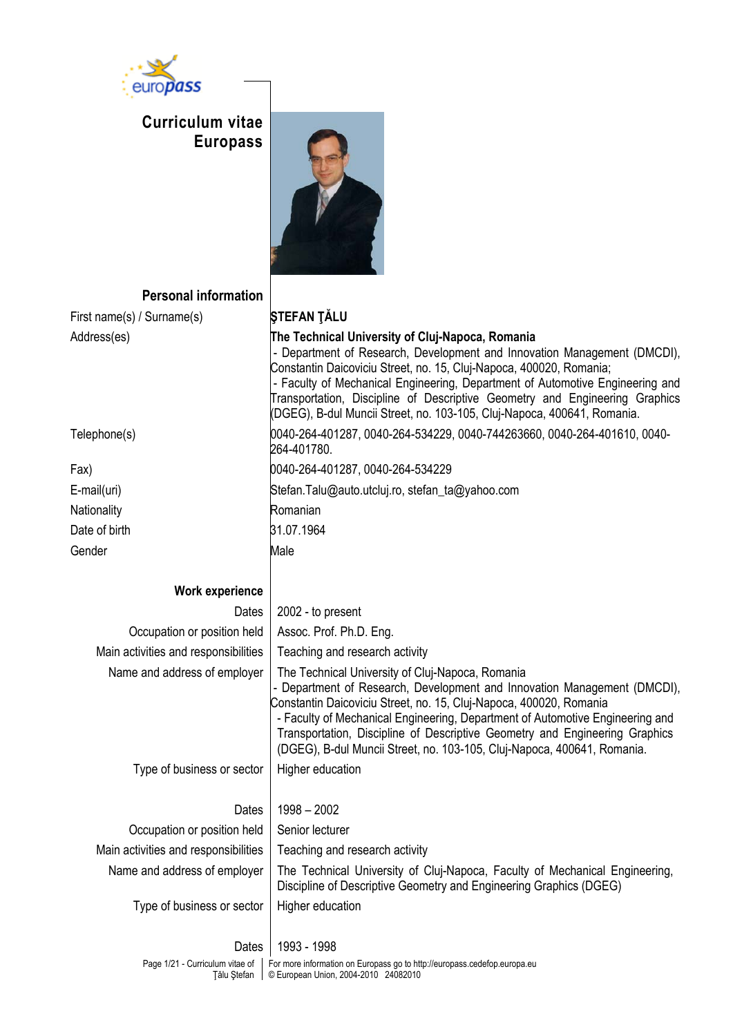

# **Curriculum vitae Europass**



# **Personal information**

| First name(s) / Surname(s)           | STEFAN TĂLU                                                                                                                                                                                                                                                                                                                                                                                                                                    |  |  |  |
|--------------------------------------|------------------------------------------------------------------------------------------------------------------------------------------------------------------------------------------------------------------------------------------------------------------------------------------------------------------------------------------------------------------------------------------------------------------------------------------------|--|--|--|
| Address(es)                          | The Technical University of Cluj-Napoca, Romania<br>- Department of Research, Development and Innovation Management (DMCDI),<br>Constantin Daicoviciu Street, no. 15, Cluj-Napoca, 400020, Romania;<br>- Faculty of Mechanical Engineering, Department of Automotive Engineering and<br>Transportation, Discipline of Descriptive Geometry and Engineering Graphics<br>(DGEG), B-dul Muncii Street, no. 103-105, Cluj-Napoca, 400641, Romania. |  |  |  |
| Telephone(s)                         | 0040-264-401287, 0040-264-534229, 0040-744263660, 0040-264-401610, 0040-<br>264-401780.                                                                                                                                                                                                                                                                                                                                                        |  |  |  |
| Fax)                                 | 0040-264-401287, 0040-264-534229                                                                                                                                                                                                                                                                                                                                                                                                               |  |  |  |
| E-mail(uri)                          | Stefan.Talu@auto.utcluj.ro, stefan_ta@yahoo.com                                                                                                                                                                                                                                                                                                                                                                                                |  |  |  |
| Nationality                          | Romanian                                                                                                                                                                                                                                                                                                                                                                                                                                       |  |  |  |
| Date of birth                        | 31.07.1964                                                                                                                                                                                                                                                                                                                                                                                                                                     |  |  |  |
| Gender                               | Male                                                                                                                                                                                                                                                                                                                                                                                                                                           |  |  |  |
|                                      |                                                                                                                                                                                                                                                                                                                                                                                                                                                |  |  |  |
| <b>Work experience</b>               |                                                                                                                                                                                                                                                                                                                                                                                                                                                |  |  |  |
| Dates                                | 2002 - to present                                                                                                                                                                                                                                                                                                                                                                                                                              |  |  |  |
| Occupation or position held          | Assoc. Prof. Ph.D. Eng.                                                                                                                                                                                                                                                                                                                                                                                                                        |  |  |  |
| Main activities and responsibilities | Teaching and research activity                                                                                                                                                                                                                                                                                                                                                                                                                 |  |  |  |
| Name and address of employer         | The Technical University of Cluj-Napoca, Romania<br>- Department of Research, Development and Innovation Management (DMCDI),<br>Constantin Daicoviciu Street, no. 15, Cluj-Napoca, 400020, Romania<br>- Faculty of Mechanical Engineering, Department of Automotive Engineering and<br>Transportation, Discipline of Descriptive Geometry and Engineering Graphics<br>(DGEG), B-dul Muncii Street, no. 103-105, Cluj-Napoca, 400641, Romania.  |  |  |  |
| Type of business or sector           | Higher education                                                                                                                                                                                                                                                                                                                                                                                                                               |  |  |  |
|                                      | $1998 - 2002$                                                                                                                                                                                                                                                                                                                                                                                                                                  |  |  |  |
| Dates                                | Senior lecturer                                                                                                                                                                                                                                                                                                                                                                                                                                |  |  |  |
| Occupation or position held          |                                                                                                                                                                                                                                                                                                                                                                                                                                                |  |  |  |
| Main activities and responsibilities | Teaching and research activity                                                                                                                                                                                                                                                                                                                                                                                                                 |  |  |  |
| Name and address of employer         | The Technical University of Cluj-Napoca, Faculty of Mechanical Engineering,<br>Discipline of Descriptive Geometry and Engineering Graphics (DGEG)                                                                                                                                                                                                                                                                                              |  |  |  |
| Type of business or sector           | Higher education                                                                                                                                                                                                                                                                                                                                                                                                                               |  |  |  |
| Dates                                | 1993 - 1998                                                                                                                                                                                                                                                                                                                                                                                                                                    |  |  |  |
| Page 1/21 - Curriculum vitae of      | For more information on Europass go to http://europass.cedefop.europa.eu                                                                                                                                                                                                                                                                                                                                                                       |  |  |  |
| Tălu Ştefan                          | © European Union, 2004-2010 24082010                                                                                                                                                                                                                                                                                                                                                                                                           |  |  |  |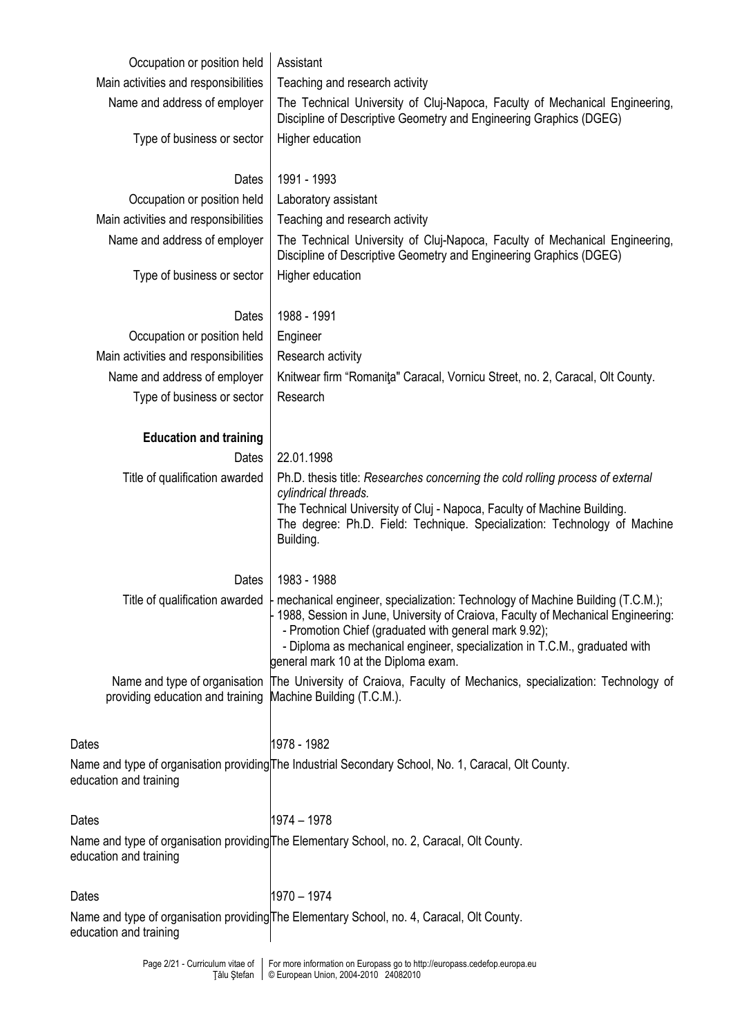| Occupation or position held                                       | Assistant                                                                                                                                                                                                                                                                                                                                                                           |  |  |  |  |
|-------------------------------------------------------------------|-------------------------------------------------------------------------------------------------------------------------------------------------------------------------------------------------------------------------------------------------------------------------------------------------------------------------------------------------------------------------------------|--|--|--|--|
| Main activities and responsibilities                              | Teaching and research activity                                                                                                                                                                                                                                                                                                                                                      |  |  |  |  |
| Name and address of employer                                      | The Technical University of Cluj-Napoca, Faculty of Mechanical Engineering,<br>Discipline of Descriptive Geometry and Engineering Graphics (DGEG)                                                                                                                                                                                                                                   |  |  |  |  |
| Type of business or sector                                        | Higher education                                                                                                                                                                                                                                                                                                                                                                    |  |  |  |  |
| Dates                                                             | 1991 - 1993                                                                                                                                                                                                                                                                                                                                                                         |  |  |  |  |
| Occupation or position held                                       | Laboratory assistant                                                                                                                                                                                                                                                                                                                                                                |  |  |  |  |
| Main activities and responsibilities                              | Teaching and research activity                                                                                                                                                                                                                                                                                                                                                      |  |  |  |  |
| Name and address of employer                                      | The Technical University of Cluj-Napoca, Faculty of Mechanical Engineering,<br>Discipline of Descriptive Geometry and Engineering Graphics (DGEG)                                                                                                                                                                                                                                   |  |  |  |  |
| Type of business or sector                                        | Higher education                                                                                                                                                                                                                                                                                                                                                                    |  |  |  |  |
| Dates                                                             | 1988 - 1991                                                                                                                                                                                                                                                                                                                                                                         |  |  |  |  |
| Occupation or position held                                       | Engineer                                                                                                                                                                                                                                                                                                                                                                            |  |  |  |  |
| Main activities and responsibilities                              | Research activity                                                                                                                                                                                                                                                                                                                                                                   |  |  |  |  |
| Name and address of employer                                      | Knitwear firm "Romanita" Caracal, Vornicu Street, no. 2, Caracal, Olt County.                                                                                                                                                                                                                                                                                                       |  |  |  |  |
| Type of business or sector                                        | Research                                                                                                                                                                                                                                                                                                                                                                            |  |  |  |  |
|                                                                   |                                                                                                                                                                                                                                                                                                                                                                                     |  |  |  |  |
| <b>Education and training</b>                                     |                                                                                                                                                                                                                                                                                                                                                                                     |  |  |  |  |
| Dates                                                             | 22.01.1998                                                                                                                                                                                                                                                                                                                                                                          |  |  |  |  |
| Title of qualification awarded                                    | Ph.D. thesis title: Researches concerning the cold rolling process of external<br>cylindrical threads.<br>The Technical University of Cluj - Napoca, Faculty of Machine Building.<br>The degree: Ph.D. Field: Technique. Specialization: Technology of Machine<br>Building.                                                                                                         |  |  |  |  |
| Dates                                                             | 1983 - 1988                                                                                                                                                                                                                                                                                                                                                                         |  |  |  |  |
|                                                                   | Title of qualification awarded   mechanical engineer, specialization: Technology of Machine Building (T.C.M.);<br>- 1988, Session in June, University of Craiova, Faculty of Mechanical Engineering:<br>- Promotion Chief (graduated with general mark 9.92);<br>- Diploma as mechanical engineer, specialization in T.C.M., graduated with<br>general mark 10 at the Diploma exam. |  |  |  |  |
| Name and type of organisation<br>providing education and training | The University of Craiova, Faculty of Mechanics, specialization: Technology of<br>Machine Building (T.C.M.).                                                                                                                                                                                                                                                                        |  |  |  |  |
| Dates                                                             | 1978 - 1982                                                                                                                                                                                                                                                                                                                                                                         |  |  |  |  |
| education and training                                            | Name and type of organisation providing The Industrial Secondary School, No. 1, Caracal, Olt County.                                                                                                                                                                                                                                                                                |  |  |  |  |
| Dates                                                             | 1974 - 1978                                                                                                                                                                                                                                                                                                                                                                         |  |  |  |  |
| education and training                                            | Name and type of organisation providing The Elementary School, no. 2, Caracal, Olt County.                                                                                                                                                                                                                                                                                          |  |  |  |  |
| Dates                                                             | 1970 - 1974                                                                                                                                                                                                                                                                                                                                                                         |  |  |  |  |
| education and training                                            | Name and type of organisation providing The Elementary School, no. 4, Caracal, Olt County.                                                                                                                                                                                                                                                                                          |  |  |  |  |
|                                                                   |                                                                                                                                                                                                                                                                                                                                                                                     |  |  |  |  |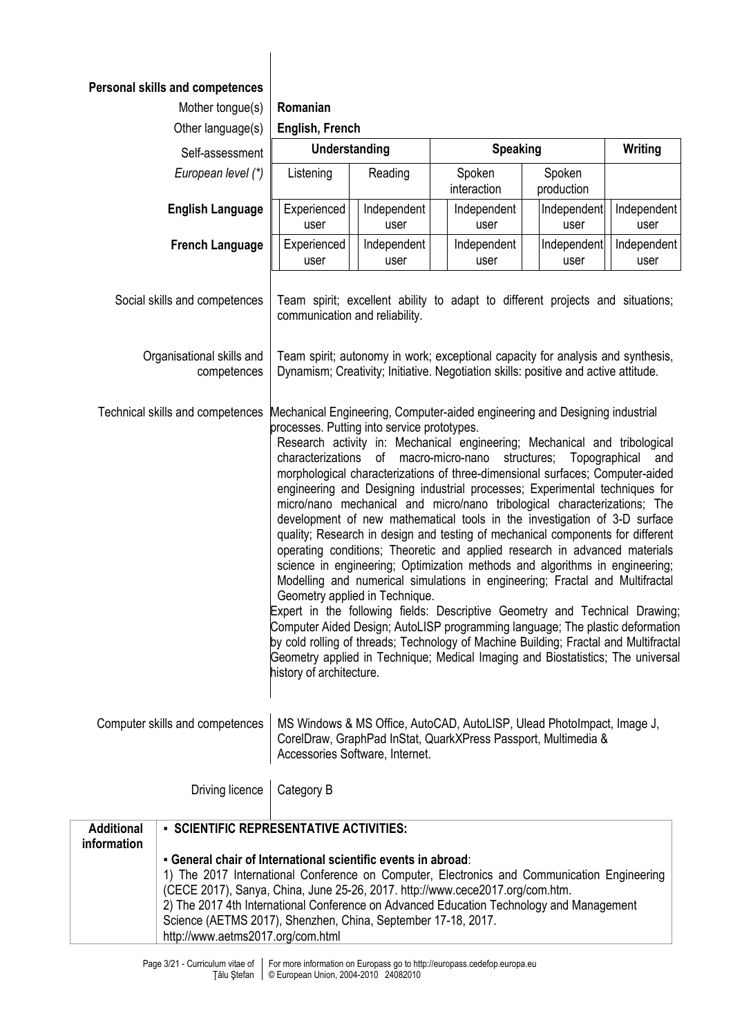## **Personal skills and competences**

Mother tongue(s) **Romanian** 

|                                                                                                                                                                                                                                                                                                                                                                                                                                                                                                                                                                                                                                                                                                                                                                                                                                                                                                                                                                                                                                                                                                                                                                                                                                                                                                                                                                                          | Other language(s)                        | English, French                                                                                                                                                                                                                                                                                                                                                                                                                                 |                     |  |                       |  |                      |                     |  |
|------------------------------------------------------------------------------------------------------------------------------------------------------------------------------------------------------------------------------------------------------------------------------------------------------------------------------------------------------------------------------------------------------------------------------------------------------------------------------------------------------------------------------------------------------------------------------------------------------------------------------------------------------------------------------------------------------------------------------------------------------------------------------------------------------------------------------------------------------------------------------------------------------------------------------------------------------------------------------------------------------------------------------------------------------------------------------------------------------------------------------------------------------------------------------------------------------------------------------------------------------------------------------------------------------------------------------------------------------------------------------------------|------------------------------------------|-------------------------------------------------------------------------------------------------------------------------------------------------------------------------------------------------------------------------------------------------------------------------------------------------------------------------------------------------------------------------------------------------------------------------------------------------|---------------------|--|-----------------------|--|----------------------|---------------------|--|
|                                                                                                                                                                                                                                                                                                                                                                                                                                                                                                                                                                                                                                                                                                                                                                                                                                                                                                                                                                                                                                                                                                                                                                                                                                                                                                                                                                                          | Self-assessment                          | <b>Understanding</b><br><b>Speaking</b>                                                                                                                                                                                                                                                                                                                                                                                                         |                     |  | <b>Writing</b>        |  |                      |                     |  |
|                                                                                                                                                                                                                                                                                                                                                                                                                                                                                                                                                                                                                                                                                                                                                                                                                                                                                                                                                                                                                                                                                                                                                                                                                                                                                                                                                                                          | European level (*)                       | Listening                                                                                                                                                                                                                                                                                                                                                                                                                                       | Reading             |  | Spoken<br>interaction |  | Spoken<br>production |                     |  |
|                                                                                                                                                                                                                                                                                                                                                                                                                                                                                                                                                                                                                                                                                                                                                                                                                                                                                                                                                                                                                                                                                                                                                                                                                                                                                                                                                                                          | <b>English Language</b>                  | Experienced<br>user                                                                                                                                                                                                                                                                                                                                                                                                                             | Independent<br>user |  | Independent<br>user   |  | Independent<br>user  | Independent<br>user |  |
|                                                                                                                                                                                                                                                                                                                                                                                                                                                                                                                                                                                                                                                                                                                                                                                                                                                                                                                                                                                                                                                                                                                                                                                                                                                                                                                                                                                          | <b>French Language</b>                   | Experienced<br>user                                                                                                                                                                                                                                                                                                                                                                                                                             | Independent<br>user |  | Independent<br>user   |  | Independent<br>user  | Independent<br>user |  |
|                                                                                                                                                                                                                                                                                                                                                                                                                                                                                                                                                                                                                                                                                                                                                                                                                                                                                                                                                                                                                                                                                                                                                                                                                                                                                                                                                                                          | Social skills and competences            | Team spirit; excellent ability to adapt to different projects and situations;<br>communication and reliability.                                                                                                                                                                                                                                                                                                                                 |                     |  |                       |  |                      |                     |  |
|                                                                                                                                                                                                                                                                                                                                                                                                                                                                                                                                                                                                                                                                                                                                                                                                                                                                                                                                                                                                                                                                                                                                                                                                                                                                                                                                                                                          | Organisational skills and<br>competences | Team spirit; autonomy in work; exceptional capacity for analysis and synthesis,<br>Dynamism; Creativity; Initiative. Negotiation skills: positive and active attitude.                                                                                                                                                                                                                                                                          |                     |  |                       |  |                      |                     |  |
| Technical skills and competences<br>Mechanical Engineering, Computer-aided engineering and Designing industrial<br>processes. Putting into service prototypes.<br>Research activity in: Mechanical engineering; Mechanical and tribological<br>structures; Topographical<br>characterizations<br>of<br>macro-micro-nano<br>morphological characterizations of three-dimensional surfaces; Computer-aided<br>engineering and Designing industrial processes; Experimental techniques for<br>micro/nano mechanical and micro/nano tribological characterizations; The<br>development of new mathematical tools in the investigation of 3-D surface<br>quality; Research in design and testing of mechanical components for different<br>operating conditions; Theoretic and applied research in advanced materials<br>science in engineering; Optimization methods and algorithms in engineering;<br>Modelling and numerical simulations in engineering; Fractal and Multifractal<br>Geometry applied in Technique.<br>Expert in the following fields: Descriptive Geometry and Technical Drawing;<br>Computer Aided Design; AutoLISP programming language; The plastic deformation<br>by cold rolling of threads; Technology of Machine Building; Fractal and Multifractal<br>Geometry applied in Technique; Medical Imaging and Biostatistics; The universal<br>history of architecture. |                                          |                                                                                                                                                                                                                                                                                                                                                                                                                                                 |                     |  | and                   |  |                      |                     |  |
| Computer skills and competences                                                                                                                                                                                                                                                                                                                                                                                                                                                                                                                                                                                                                                                                                                                                                                                                                                                                                                                                                                                                                                                                                                                                                                                                                                                                                                                                                          |                                          | MS Windows & MS Office, AutoCAD, AutoLISP, Ulead PhotoImpact, Image J,<br>CorelDraw, GraphPad InStat, QuarkXPress Passport, Multimedia &<br>Accessories Software, Internet.                                                                                                                                                                                                                                                                     |                     |  |                       |  |                      |                     |  |
|                                                                                                                                                                                                                                                                                                                                                                                                                                                                                                                                                                                                                                                                                                                                                                                                                                                                                                                                                                                                                                                                                                                                                                                                                                                                                                                                                                                          | Driving licence                          | Category B                                                                                                                                                                                                                                                                                                                                                                                                                                      |                     |  |                       |  |                      |                     |  |
| <b>Additional</b><br>information                                                                                                                                                                                                                                                                                                                                                                                                                                                                                                                                                                                                                                                                                                                                                                                                                                                                                                                                                                                                                                                                                                                                                                                                                                                                                                                                                         | - SCIENTIFIC REPRESENTATIVE ACTIVITIES:  |                                                                                                                                                                                                                                                                                                                                                                                                                                                 |                     |  |                       |  |                      |                     |  |
|                                                                                                                                                                                                                                                                                                                                                                                                                                                                                                                                                                                                                                                                                                                                                                                                                                                                                                                                                                                                                                                                                                                                                                                                                                                                                                                                                                                          |                                          | - General chair of International scientific events in abroad:<br>1) The 2017 International Conference on Computer, Electronics and Communication Engineering<br>(CECE 2017), Sanya, China, June 25-26, 2017. http://www.cece2017.org/com.htm.<br>2) The 2017 4th International Conference on Advanced Education Technology and Management<br>Science (AETMS 2017), Shenzhen, China, September 17-18, 2017.<br>http://www.aetms2017.org/com.html |                     |  |                       |  |                      |                     |  |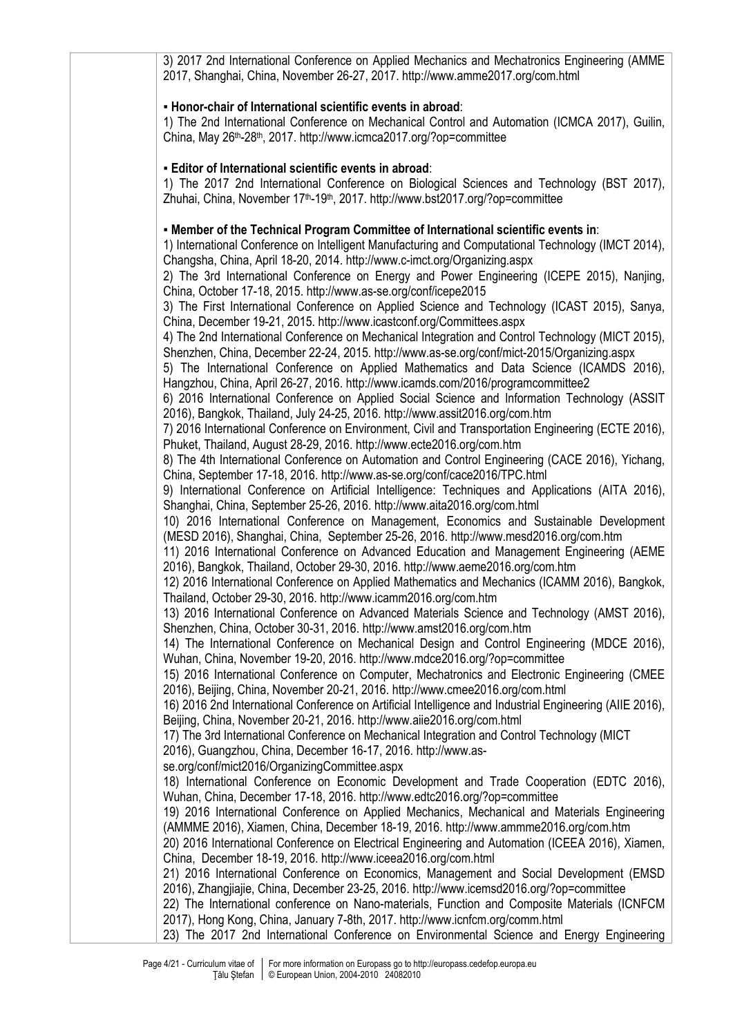3) 2017 2nd International Conference on Applied Mechanics and Mechatronics Engineering (AMME 2017, Shanghai, China, November 26-27, 2017. http://www.amme2017.org/com.html

### ▪ **Honor-chair of International scientific events in abroad**:

1) The 2nd International Conference on Mechanical Control and Automation (ICMCA 2017), Guilin, China, May 26th-28th, 2017. http://www.icmca2017.org/?op=committee

## ▪ **Editor of International scientific events in abroad**:

1) The 2017 2nd International Conference on Biological Sciences and Technology (BST 2017), Zhuhai, China, November 17<sup>th</sup>-19<sup>th</sup>, 2017. http://www.bst2017.org/?op=committee

## ▪ **Member of the Technical Program Committee of International scientific events in**:

1) International Conference on Intelligent Manufacturing and Computational Technology (IMCT 2014), Changsha, China, April 18-20, 2014. http://www.c-imct.org/Organizing.aspx

2) The 3rd International Conference on Energy and Power Engineering (ICEPE 2015), Nanjing, China, October 17-18, 2015. http://www.as-se.org/conf/icepe2015

3) The First International Conference on Applied Science and Technology (ICAST 2015), Sanya, China, December 19-21, 2015. http://www.icastconf.org/Committees.aspx

4) The 2nd International Conference on Mechanical Integration and Control Technology (MICT 2015), Shenzhen, China, December 22-24, 2015. http://www.as-se.org/conf/mict-2015/Organizing.aspx

5) The International Conference on Applied Mathematics and Data Science (ICAMDS 2016), Hangzhou, China, April 26-27, 2016. http://www.icamds.com/2016/programcommittee2

6) 2016 International Conference on Applied Social Science and Information Technology (ASSIT 2016), Bangkok, Thailand, July 24-25, 2016. http://www.assit2016.org/com.htm

7) 2016 International Conference on Environment, Civil and Transportation Engineering (ECTE 2016), Phuket, Thailand, August 28-29, 2016. http://www.ecte2016.org/com.htm

8) The 4th International Conference on Automation and Control Engineering (CACE 2016), Yichang, China, September 17-18, 2016. http://www.as-se.org/conf/cace2016/TPC.html

9) International Conference on Artificial Intelligence: Techniques and Applications (AITA 2016), Shanghai, China, September 25-26, 2016. http://www.aita2016.org/com.html

10) 2016 International Conference on Management, Economics and Sustainable Development (MESD 2016), Shanghai, China, September 25-26, 2016. http://www.mesd2016.org/com.htm

11) 2016 International Conference on Advanced Education and Management Engineering (AEME 2016), Bangkok, Thailand, October 29-30, 2016. http://www.aeme2016.org/com.htm

12) 2016 International Conference on Applied Mathematics and Mechanics (ICAMM 2016), Bangkok, Thailand, October 29-30, 2016. http://www.icamm2016.org/com.htm

13) 2016 International Conference on Advanced Materials Science and Technology (AMST 2016), Shenzhen, China, October 30-31, 2016. http://www.amst2016.org/com.htm

14) The International Conference on Mechanical Design and Control Engineering (MDCE 2016), Wuhan, China, November 19-20, 2016. http://www.mdce2016.org/?op=committee

15) 2016 International Conference on Computer, Mechatronics and Electronic Engineering (CMEE 2016), Beijing, China, November 20-21, 2016. http://www.cmee2016.org/com.html

16) 2016 2nd International Conference on Artificial Intelligence and Industrial Engineering (AIIE 2016), Beijing, China, November 20-21, 2016. http://www.aiie2016.org/com.html

17) The 3rd International Conference on Mechanical Integration and Control Technology (MICT

2016), Guangzhou, China, December 16-17, 2016. http://www.as-

se.org/conf/mict2016/OrganizingCommittee.aspx

18) International Conference on Economic Development and Trade Cooperation (EDTC 2016), Wuhan, China, December 17-18, 2016. http://www.edtc2016.org/?op=committee

19) 2016 International Conference on Applied Mechanics, Mechanical and Materials Engineering (AMMME 2016), Xiamen, China, December 18-19, 2016. http://www.ammme2016.org/com.htm

20) 2016 International Conference on Electrical Engineering and Automation (ICEEA 2016), Xiamen, China, December 18-19, 2016. http://www.iceea2016.org/com.html

21) 2016 International Conference on Economics, Management and Social Development (EMSD 2016), Zhangjiajie, China, December 23-25, 2016. http://www.icemsd2016.org/?op=committee

22) The International conference on Nano-materials, Function and Composite Materials (ICNFCM 2017), Hong Kong, China, January 7-8th, 2017. http://www.icnfcm.org/comm.html

23) The 2017 2nd International Conference on Environmental Science and Energy Engineering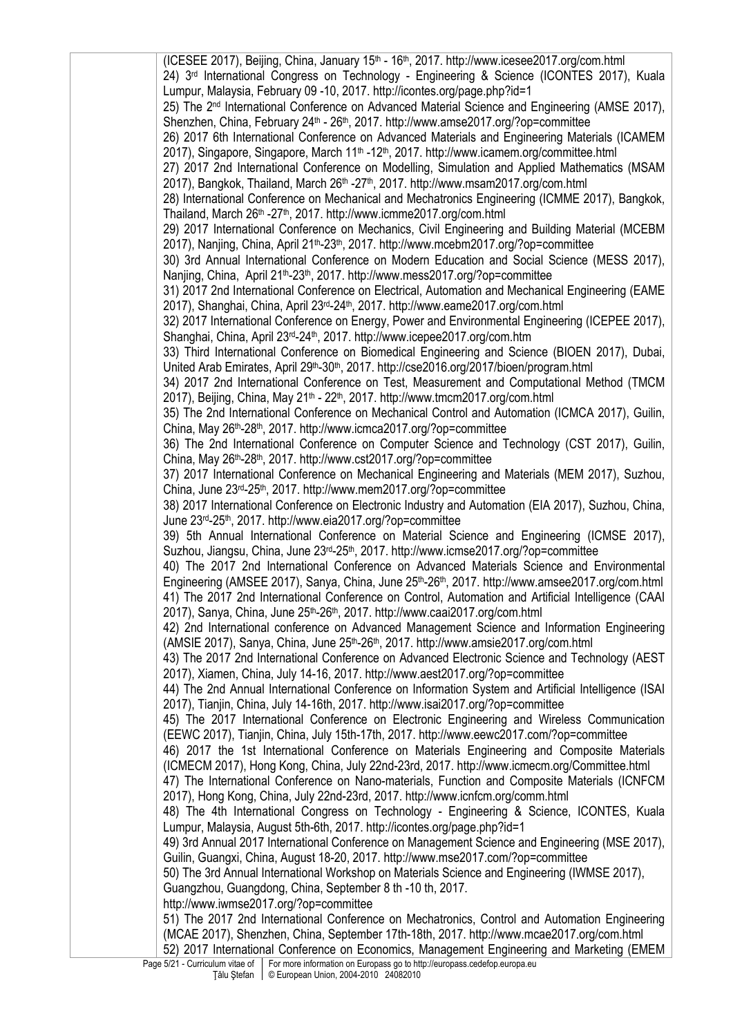(ICESEE 2017), Beijing, China, January 15<sup>th</sup> - 16<sup>th</sup>, 2017. http://www.icesee2017.org/com.html 24) 3rd International Congress on Technology - Engineering & Science (ICONTES 2017), Kuala Lumpur, Malaysia, February 09 -10, 2017. http://icontes.org/page.php?id=1 25) The 2nd International Conference on Advanced Material Science and Engineering (AMSE 2017), Shenzhen, China, February 24<sup>th</sup> - 26<sup>th</sup>, 2017. http://www.amse2017.org/?op=committee 26) 2017 6th International Conference on Advanced Materials and Engineering Materials (ICAMEM 2017), Singapore, Singapore, March 11<sup>th</sup> -12<sup>th</sup>, 2017. http://www.icamem.org/committee.html 27) 2017 2nd International Conference on Modelling, Simulation and Applied Mathematics (MSAM 2017), Bangkok, Thailand, March 26<sup>th</sup> -27<sup>th</sup>, 2017. http://www.msam2017.org/com.html 28) International Conference on Mechanical and Mechatronics Engineering (ICMME 2017), Bangkok, Thailand, March 26th -27th, 2017. http://www.icmme2017.org/com.html 29) 2017 International Conference on Mechanics, Civil Engineering and Building Material (MCEBM 2017), Nanjing, China, April 21th-23th, 2017. http://www.mcebm2017.org/?op=committee 30) 3rd Annual International Conference on Modern Education and Social Science (MESS 2017), Nanjing, China, April 21th-23th, 2017. http://www.mess2017.org/?op=committee 31) 2017 2nd International Conference on Electrical, Automation and Mechanical Engineering (EAME 2017), Shanghai, China, April 23rd-24th, 2017. http://www.eame2017.org/com.html 32) 2017 International Conference on Energy, Power and Environmental Engineering (ICEPEE 2017), Shanghai, China, April 23rd-24th, 2017. http://www.icepee2017.org/com.htm 33) Third International Conference on Biomedical Engineering and Science (BIOEN 2017), Dubai, United Arab Emirates, April 29<sup>th</sup>-30<sup>th</sup>, 2017. http://cse2016.org/2017/bioen/program.html 34) 2017 2nd International Conference on Test, Measurement and Computational Method (TMCM 2017), Beijing, China, May 21th - 22th, 2017. http://www.tmcm2017.org/com.html 35) The 2nd International Conference on Mechanical Control and Automation (ICMCA 2017), Guilin, China, May 26th-28th, 2017. http://www.icmca2017.org/?op=committee 36) The 2nd International Conference on Computer Science and Technology (CST 2017), Guilin, China, May 26th-28th, 2017. http://www.cst2017.org/?op=committee 37) 2017 International Conference on Mechanical Engineering and Materials (MEM 2017), Suzhou, China, June 23rd-25th, 2017. http://www.mem2017.org/?op=committee 38) 2017 International Conference on Electronic Industry and Automation (EIA 2017), Suzhou, China, June 23rd-25th, 2017. http://www.eia2017.org/?op=committee 39) 5th Annual International Conference on Material Science and Engineering (ICMSE 2017), Suzhou, Jiangsu, China, June 23rd-25th, 2017. http://www.icmse2017.org/?op=committee 40) The 2017 2nd International Conference on Advanced Materials Science and Environmental Engineering (AMSEE 2017), Sanya, China, June 25<sup>th</sup>-26<sup>th</sup>, 2017. http://www.amsee2017.org/com.html 41) The 2017 2nd International Conference on Control, Automation and Artificial Intelligence (CAAI 2017), Sanya, China, June 25th-26th, 2017. http://www.caai2017.org/com.html 42) 2nd International conference on Advanced Management Science and Information Engineering (AMSIE 2017), Sanya, China, June 25th-26th, 2017. http://www.amsie2017.org/com.html 43) The 2017 2nd International Conference on Advanced Electronic Science and Technology (AEST 2017), Xiamen, China, July 14-16, 2017. http://www.aest2017.org/?op=committee 44) The 2nd Annual International Conference on Information System and Artificial Intelligence (ISAI 2017), Tianjin, China, July 14-16th, 2017. http://www.isai2017.org/?op=committee 45) The 2017 International Conference on Electronic Engineering and Wireless Communication (EEWC 2017), Tianjin, China, July 15th-17th, 2017. http://www.eewc2017.com/?op=committee 46) 2017 the 1st International Conference on Materials Engineering and Composite Materials (ICMECM 2017), Hong Kong, China, July 22nd-23rd, 2017. http://www.icmecm.org/Committee.html 47) The International Conference on Nano-materials, Function and Composite Materials (ICNFCM 2017), Hong Kong, China, July 22nd-23rd, 2017. http://www.icnfcm.org/comm.html 48) The 4th International Congress on Technology - Engineering & Science, ICONTES, Kuala Lumpur, Malaysia, August 5th-6th, 2017. http://icontes.org/page.php?id=1 49) 3rd Annual 2017 International Conference on Management Science and Engineering (MSE 2017), Guilin, Guangxi, China, August 18-20, 2017. http://www.mse2017.com/?op=committee 50) The 3rd Annual International Workshop on Materials Science and Engineering (IWMSE 2017), Guangzhou, Guangdong, China, September 8 th -10 th, 2017. http://www.iwmse2017.org/?op=committee 51) The 2017 2nd International Conference on Mechatronics, Control and Automation Engineering (MCAE 2017), Shenzhen, China, September 17th-18th, 2017. http://www.mcae2017.org/com.html 52) 2017 International Conference on Economics, Management Engineering and Marketing (EMEM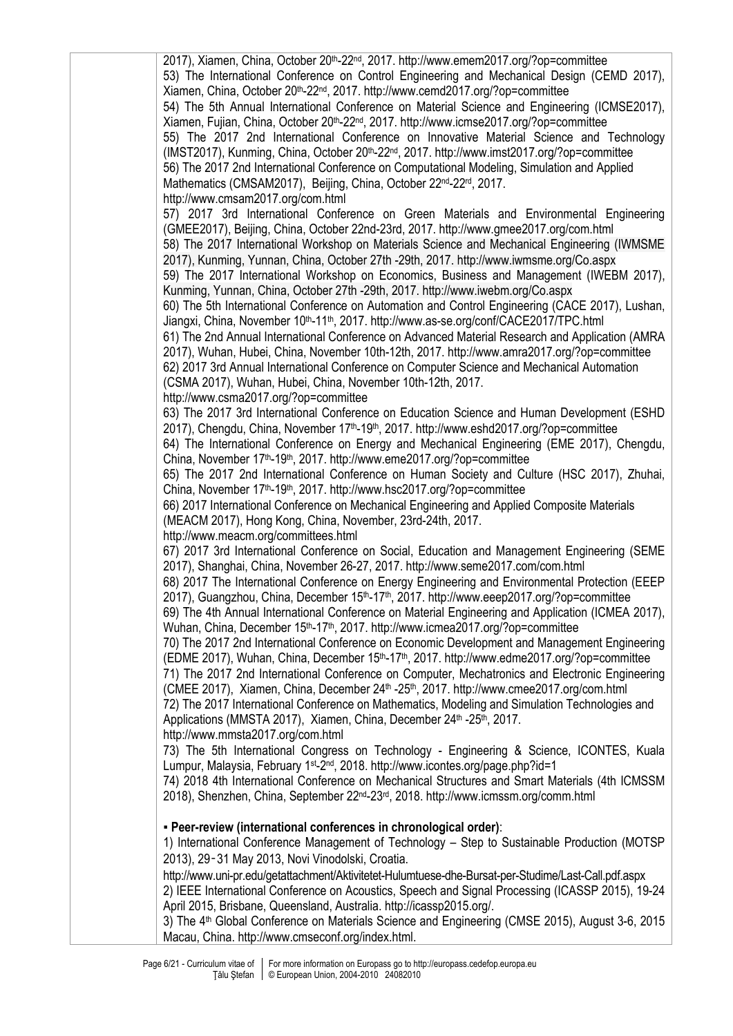2017), Xiamen, China, October 20th-22nd, 2017. http://www.emem2017.org/?op=committee 53) The International Conference on Control Engineering and Mechanical Design (CEMD 2017), Xiamen, China, October 20th-22nd, 2017. http://www.cemd2017.org/?op=committee 54) The 5th Annual International Conference on Material Science and Engineering (ICMSE2017), Xiamen, Fujian, China, October 20th-22nd, 2017. http://www.icmse2017.org/?op=committee 55) The 2017 2nd International Conference on Innovative Material Science and Technology (IMST2017), Kunming, China, October 20th-22nd, 2017. http://www.imst2017.org/?op=committee 56) The 2017 2nd International Conference on Computational Modeling, Simulation and Applied Mathematics (CMSAM2017), Beijing, China, October 22<sup>nd</sup>-22<sup>rd</sup>, 2017. http://www.cmsam2017.org/com.html 57) 2017 3rd International Conference on Green Materials and Environmental Engineering (GMEE2017), Beijing, China, October 22nd-23rd, 2017. http://www.gmee2017.org/com.html 58) The 2017 International Workshop on Materials Science and Mechanical Engineering (IWMSME 2017), Kunming, Yunnan, China, October 27th -29th, 2017. http://www.iwmsme.org/Co.aspx 59) The 2017 International Workshop on Economics, Business and Management (IWEBM 2017), Kunming, Yunnan, China, October 27th -29th, 2017. http://www.iwebm.org/Co.aspx 60) The 5th International Conference on Automation and Control Engineering (CACE 2017), Lushan, Jiangxi, China, November 10<sup>th</sup>-11<sup>th</sup>, 2017. http://www.as-se.org/conf/CACE2017/TPC.html 61) The 2nd Annual International Conference on Advanced Material Research and Application (AMRA 2017), Wuhan, Hubei, China, November 10th-12th, 2017. http://www.amra2017.org/?op=committee 62) 2017 3rd Annual International Conference on Computer Science and Mechanical Automation (CSMA 2017), Wuhan, Hubei, China, November 10th-12th, 2017. http://www.csma2017.org/?op=committee 63) The 2017 3rd International Conference on Education Science and Human Development (ESHD 2017), Chengdu, China, November 17th-19th, 2017. http://www.eshd2017.org/?op=committee 64) The International Conference on Energy and Mechanical Engineering (EME 2017), Chengdu, China, November 17th-19th, 2017. http://www.eme2017.org/?op=committee 65) The 2017 2nd International Conference on Human Society and Culture (HSC 2017), Zhuhai, China, November 17th-19th, 2017. http://www.hsc2017.org/?op=committee 66) 2017 International Conference on Mechanical Engineering and Applied Composite Materials (MEACM 2017), Hong Kong, China, November, 23rd-24th, 2017. http://www.meacm.org/committees.html 67) 2017 3rd International Conference on Social, Education and Management Engineering (SEME 2017), Shanghai, China, November 26-27, 2017. http://www.seme2017.com/com.html 68) 2017 The International Conference on Energy Engineering and Environmental Protection (EEEP 2017), Guangzhou, China, December 15th-17th, 2017. http://www.eeep2017.org/?op=committee 69) The 4th Annual International Conference on Material Engineering and Application (ICMEA 2017), Wuhan, China, December 15<sup>th</sup>-17<sup>th</sup>, 2017. http://www.icmea2017.org/?op=committee 70) The 2017 2nd International Conference on Economic Development and Management Engineering (EDME 2017), Wuhan, China, December 15th-17th, 2017. http://www.edme2017.org/?op=committee 71) The 2017 2nd International Conference on Computer, Mechatronics and Electronic Engineering (CMEE 2017), Xiamen, China, December 24th -25th, 2017. http://www.cmee2017.org/com.html 72) The 2017 International Conference on Mathematics, Modeling and Simulation Technologies and Applications (MMSTA 2017), Xiamen, China, December 24th -25th, 2017. http://www.mmsta2017.org/com.html 73) The 5th International Congress on Technology - Engineering & Science, ICONTES, Kuala Lumpur, Malaysia, February 1st-2nd, 2018. http://www.icontes.org/page.php?id=1 74) 2018 4th International Conference on Mechanical Structures and Smart Materials (4th ICMSSM 2018), Shenzhen, China, September 22nd-23rd, 2018. http://www.icmssm.org/comm.html ▪ **Peer-review (international conferences in chronological order)**: 1) International Conference Management of Technology – Step to Sustainable Production (MOTSP 2013), 29‑31 May 2013, Novi Vinodolski, Croatia. http://www.uni-pr.edu/getattachment/Aktivitetet-Hulumtuese-dhe-Bursat-per-Studime/Last-Call.pdf.aspx 2) IEEE International Conference on Acoustics, Speech and Signal Processing (ICASSP 2015), 19-24 April 2015, Brisbane, Queensland, Australia. http://icassp2015.org/. 3) The 4th Global Conference on Materials Science and Engineering (CMSE 2015), August 3-6, 2015 Macau, China. http://www.cmseconf.org/index.html.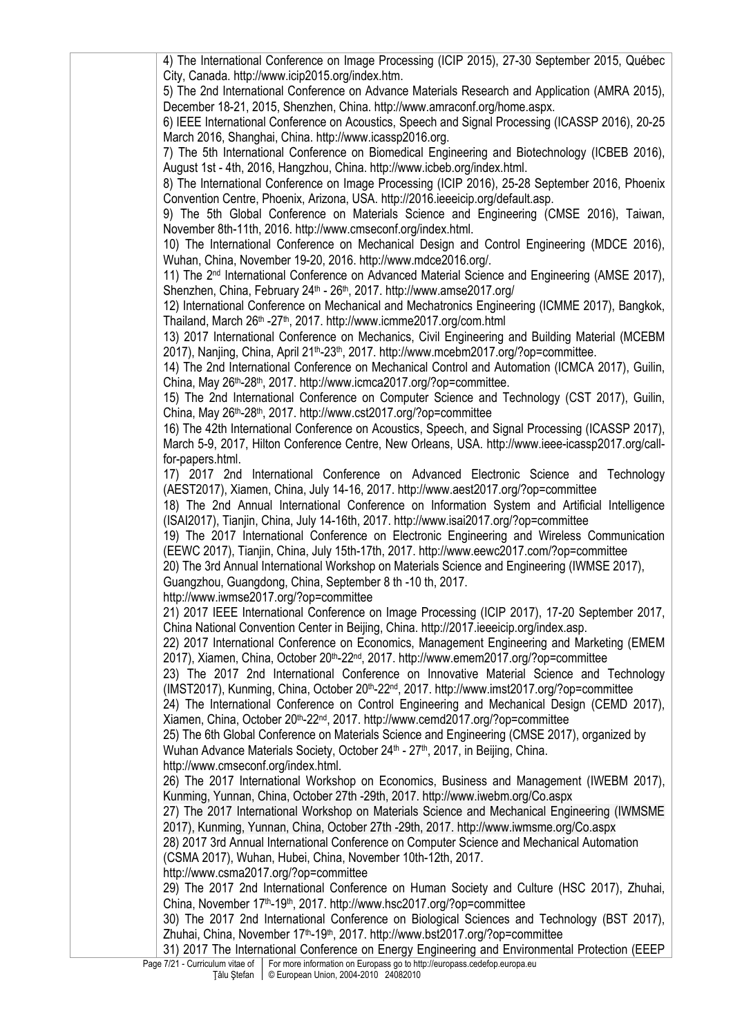4) The International Conference on Image Processing (ICIP 2015), 27-30 September 2015, Québec City, Canada. http://www.icip2015.org/index.htm. 5) The 2nd International Conference on Advance Materials Research and Application (AMRA 2015), December 18-21, 2015, Shenzhen, China. http://www.amraconf.org/home.aspx. 6) IEEE International Conference on Acoustics, Speech and Signal Processing (ICASSP 2016), 20-25 March 2016, Shanghai, China. http://www.icassp2016.org. 7) The 5th International Conference on Biomedical Engineering and Biotechnology (ICBEB 2016), August 1st - 4th, 2016, Hangzhou, China. http://www.icbeb.org/index.html. 8) The International Conference on Image Processing (ICIP 2016), 25-28 September 2016, Phoenix Convention Centre, Phoenix, Arizona, USA. http://2016.ieeeicip.org/default.asp. 9) The 5th Global Conference on Materials Science and Engineering (CMSE 2016), Taiwan, November 8th-11th, 2016. http://www.cmseconf.org/index.html. 10) The International Conference on Mechanical Design and Control Engineering (MDCE 2016), Wuhan, China, November 19-20, 2016. http://www.mdce2016.org/. 11) The 2<sup>nd</sup> International Conference on Advanced Material Science and Engineering (AMSE 2017), Shenzhen, China, February 24<sup>th</sup> - 26<sup>th</sup>, 2017. http://www.amse2017.org/ 12) International Conference on Mechanical and Mechatronics Engineering (ICMME 2017), Bangkok, Thailand, March 26th -27th, 2017. http://www.icmme2017.org/com.html 13) 2017 International Conference on Mechanics, Civil Engineering and Building Material (MCEBM 2017), Nanjing, China, April 21th-23th, 2017. http://www.mcebm2017.org/?op=committee. 14) The 2nd International Conference on Mechanical Control and Automation (ICMCA 2017), Guilin, China, May 26th-28th, 2017. http://www.icmca2017.org/?op=committee. 15) The 2nd International Conference on Computer Science and Technology (CST 2017), Guilin, China, May 26th-28th, 2017. http://www.cst2017.org/?op=committee 16) The 42th International Conference on Acoustics, Speech, and Signal Processing (ICASSP 2017), March 5-9, 2017, Hilton Conference Centre, New Orleans, USA. http://www.ieee-icassp2017.org/callfor-papers.html. 17) 2017 2nd International Conference on Advanced Electronic Science and Technology (AEST2017), Xiamen, China, July 14-16, 2017. http://www.aest2017.org/?op=committee 18) The 2nd Annual International Conference on Information System and Artificial Intelligence (ISAI2017), Tianjin, China, July 14-16th, 2017. http://www.isai2017.org/?op=committee 19) The 2017 International Conference on Electronic Engineering and Wireless Communication (EEWC 2017), Tianjin, China, July 15th-17th, 2017. http://www.eewc2017.com/?op=committee 20) The 3rd Annual International Workshop on Materials Science and Engineering (IWMSE 2017), Guangzhou, Guangdong, China, September 8 th -10 th, 2017. http://www.iwmse2017.org/?op=committee 21) 2017 IEEE International Conference on Image Processing (ICIP 2017), 17-20 September 2017, China National Convention Center in Beijing, China. http://2017.ieeeicip.org/index.asp. 22) 2017 International Conference on Economics, Management Engineering and Marketing (EMEM 2017), Xiamen, China, October 20th-22nd, 2017. http://www.emem2017.org/?op=committee 23) The 2017 2nd International Conference on Innovative Material Science and Technology (IMST2017), Kunming, China, October 20th-22nd, 2017. http://www.imst2017.org/?op=committee 24) The International Conference on Control Engineering and Mechanical Design (CEMD 2017), Xiamen, China, October 20th-22nd, 2017. http://www.cemd2017.org/?op=committee 25) The 6th Global Conference on Materials Science and Engineering (CMSE 2017), organized by Wuhan Advance Materials Society, October 24<sup>th</sup> - 27<sup>th</sup>, 2017, in Beijing, China. http://www.cmseconf.org/index.html. 26) The 2017 International Workshop on Economics, Business and Management (IWEBM 2017), Kunming, Yunnan, China, October 27th -29th, 2017. http://www.iwebm.org/Co.aspx 27) The 2017 International Workshop on Materials Science and Mechanical Engineering (IWMSME 2017), Kunming, Yunnan, China, October 27th -29th, 2017. http://www.iwmsme.org/Co.aspx 28) 2017 3rd Annual International Conference on Computer Science and Mechanical Automation (CSMA 2017), Wuhan, Hubei, China, November 10th-12th, 2017. http://www.csma2017.org/?op=committee 29) The 2017 2nd International Conference on Human Society and Culture (HSC 2017), Zhuhai, China, November 17th-19th, 2017. http://www.hsc2017.org/?op=committee 30) The 2017 2nd International Conference on Biological Sciences and Technology (BST 2017), Zhuhai, China, November 17th-19th, 2017. http://www.bst2017.org/?op=committee 31) 2017 The International Conference on Energy Engineering and Environmental Protection (EEEP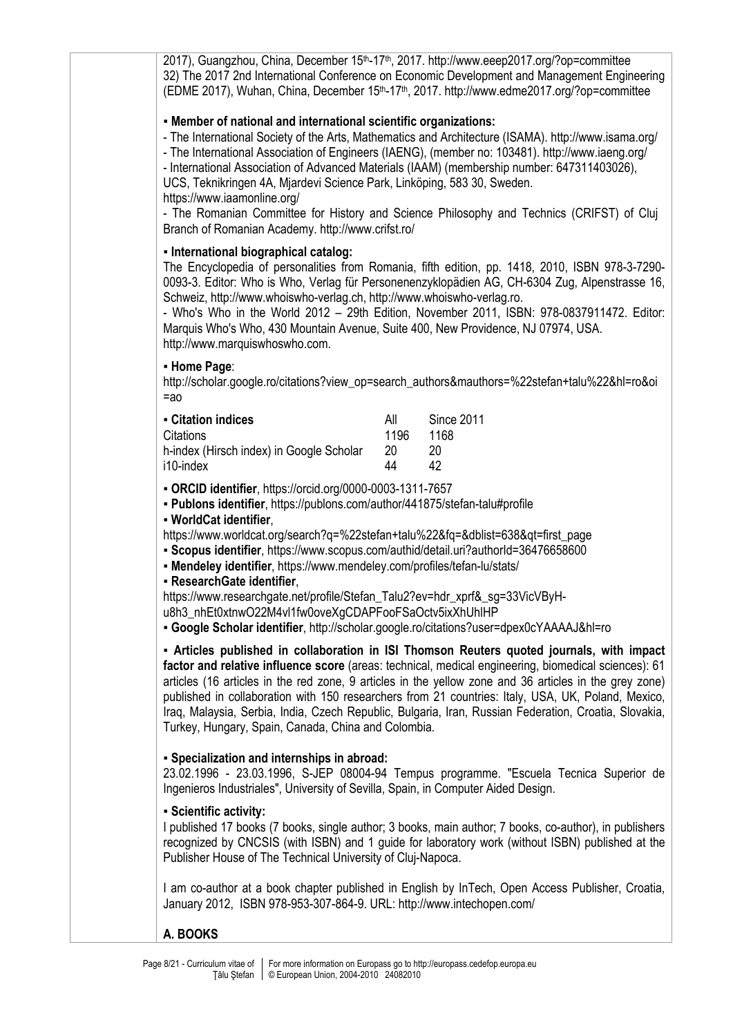2017), Guangzhou, China, December 15<sup>th</sup>-17<sup>th</sup>, 2017. http://www.eeep2017.org/?op=committee 32) The 2017 2nd International Conference on Economic Development and Management Engineering (EDME 2017), Wuhan, China, December 15th-17th, 2017. http://www.edme2017.org/?op=committee

### ▪ **Member of national and international scientific organizations:**

- The International Society of the Arts, Mathematics and Architecture (ISAMA). http://www.isama.org/

- The International Association of Engineers (IAENG), (member no: 103481). http://www.iaeng.org/

- International Association of Advanced Materials (IAAM) (membership number: 647311403026),

UCS, Teknikringen 4A, Mjardevi Science Park, Linköping, 583 30, Sweden.

https://www.iaamonline.org/

- The Romanian Committee for History and Science Philosophy and Technics (CRIFST) of Cluj Branch of Romanian Academy. http://www.crifst.ro/

#### ▪ **International biographical catalog:**

The Encyclopedia of personalities from Romania, fifth edition, pp. 1418, 2010, ISBN 978-3-7290- 0093-3. Editor: Who is Who, Verlag für Personenenzyklopädien AG, CH-6304 Zug, Alpenstrasse 16, Schweiz, http://www.whoiswho-verlag.ch, http://www.whoiswho-verlag.ro.

- Who's Who in the World 2012 – 29th Edition, November 2011, ISBN: 978-0837911472. Editor: Marquis Who's Who, 430 Mountain Avenue, Suite 400, New Providence, NJ 07974, USA. http://www.marquiswhoswho.com.

#### ▪ **Home Page**:

http://scholar.google.ro/citations?view\_op=search\_authors&mauthors=%22stefan+talu%22&hl=ro&oi =ao

| - Citation indices                       | All  | Since 2011 |
|------------------------------------------|------|------------|
| <b>Citations</b>                         | 1196 | 1168       |
| h-index (Hirsch index) in Google Scholar | 20   |            |
| i10-index                                | 44   | 42         |

▪ **ORCID identifier**, https://orcid.org/0000-0003-1311-7657

▪ **Publons identifier**, https://publons.com/author/441875/stefan-talu#profile

▪ **WorldCat identifier**,

https://www.worldcat.org/search?q=%22stefan+talu%22&fq=&dblist=638&qt=first\_page

▪ **Scopus identifier**, https://www.scopus.com/authid/detail.uri?authorId=36476658600

▪ **Mendeley identifier**, https://www.mendeley.com/profiles/tefan-lu/stats/

▪ **ResearchGate identifier**,

https://www.researchgate.net/profile/Stefan\_Talu2?ev=hdr\_xprf&\_sg=33VicVByH-

u8h3\_nhEt0xtnwO22M4vl1fw0oveXgCDAPFooFSaOctv5ixXhUhlHP

▪ **Google Scholar identifier**, http://scholar.google.ro/citations?user=dpex0cYAAAAJ&hl=ro

▪ **Articles published in collaboration in ISI Thomson Reuters quoted journals, with impact factor and relative influence score** (areas: technical, medical engineering, biomedical sciences): 61 articles (16 articles in the red zone, 9 articles in the yellow zone and 36 articles in the grey zone) published in collaboration with 150 researchers from 21 countries: Italy, USA, UK, Poland, Mexico, Iraq, Malaysia, Serbia, India, Czech Republic, Bulgaria, Iran, Russian Federation, Croatia, Slovakia, Turkey, Hungary, Spain, Canada, China and Colombia.

### **▪ Specialization and internships in abroad:**

23.02.1996 - 23.03.1996, S-JEP 08004-94 Tempus programme. "Escuela Tecnica Superior de Ingenieros Industriales", University of Sevilla, Spain, in Computer Aided Design.

### ▪ **Scientific activity:**

I published 17 books (7 books, single author; 3 books, main author; 7 books, co-author), in publishers recognized by CNCSIS (with ISBN) and 1 guide for laboratory work (without ISBN) published at the Publisher House of The Technical University of Cluj-Napoca.

I am co-author at a book chapter published in English by InTech, Open Access Publisher, Croatia, January 2012, ISBN 978-953-307-864-9. URL: http://www.intechopen.com/

### **A. BOOKS**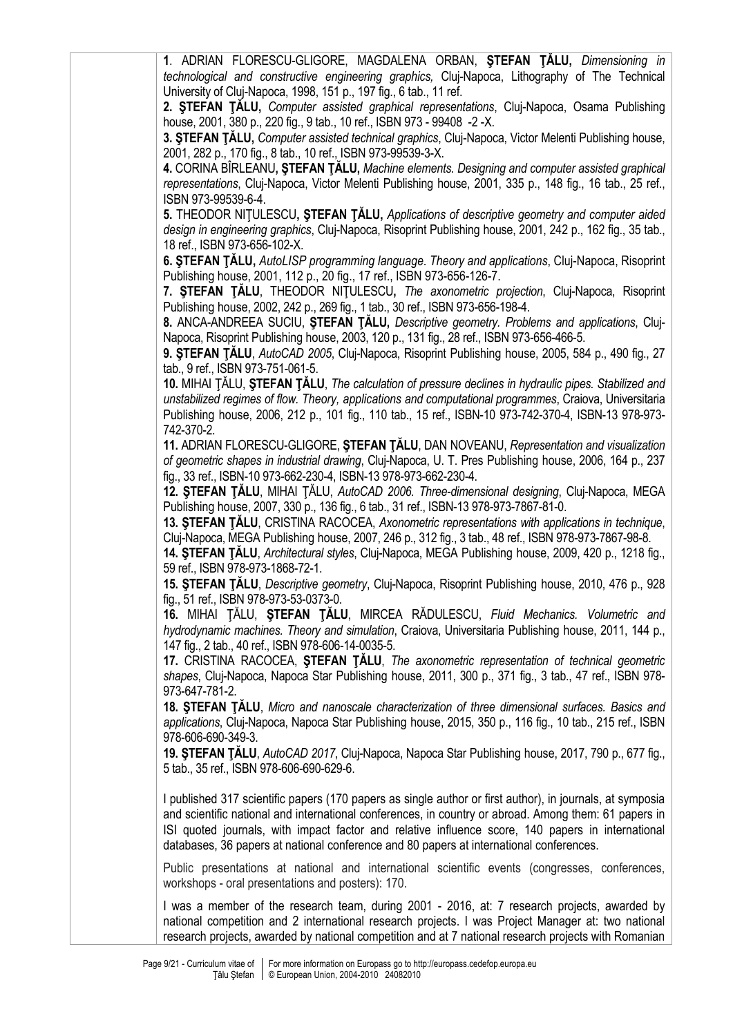**1**. ADRIAN FLORESCU-GLIGORE, MAGDALENA ORBAN, **ŞTEFAN ŢĂLU,** *Dimensioning in technological and constructive engineering graphics,* Cluj-Napoca, Lithography of The Technical University of Cluj-Napoca, 1998, 151 p., 197 fig., 6 tab., 11 ref.

**2. ŞTEFAN ŢĂLU,** *Computer assisted graphical representations*, Cluj-Napoca, Osama Publishing house, 2001, 380 p., 220 fig., 9 tab., 10 ref., ISBN 973 - 99408 -2 -X.

**3. ŞTEFAN ŢĂLU,** *Computer assisted technical graphics*, Cluj-Napoca, Victor Melenti Publishing house, 2001, 282 p., 170 fig., 8 tab., 10 ref., ISBN 973-99539-3-X.

**4.** CORINA BÎRLEANU**, ŞTEFAN ŢĂLU,** *Machine elements. Designing and computer assisted graphical representations*, Cluj-Napoca, Victor Melenti Publishing house, 2001, 335 p., 148 fig., 16 tab., 25 ref., ISBN 973-99539-6-4.

**5.** THEODOR NIŢULESCU**, ŞTEFAN ŢĂLU,** *Applications of descriptive geometry and computer aided design in engineering graphics*, Cluj-Napoca, Risoprint Publishing house, 2001, 242 p., 162 fig., 35 tab., 18 ref., ISBN 973-656-102-X.

**6. ŞTEFAN ŢĂLU,** *AutoLISP programming language*. *Theory and applications*, Cluj-Napoca, Risoprint Publishing house, 2001, 112 p., 20 fig., 17 ref., ISBN 973-656-126-7.

**7. ŞTEFAN ŢĂLU**, THEODOR NIŢULESCU**,** *The axonometric projection*, Cluj-Napoca, Risoprint Publishing house, 2002, 242 p., 269 fig., 1 tab., 30 ref., ISBN 973-656-198-4.

**8.** ANCA-ANDREEA SUCIU, **ŞTEFAN ŢĂLU,** *Descriptive geometry. Problems and applications*, Cluj-Napoca, Risoprint Publishing house, 2003, 120 p., 131 fig., 28 ref., ISBN 973-656-466-5.

**9. ŞTEFAN ŢĂLU**, *AutoCAD 2005*, Cluj-Napoca, Risoprint Publishing house, 2005, 584 p., 490 fig., 27 tab., 9 ref., ISBN 973-751-061-5.

**10.** MIHAI ŢĂLU, **ŞTEFAN ŢĂLU**, *The calculation of pressure declines in hydraulic pipes. Stabilized and unstabilized regimes of flow. Theory, applications and computational programmes*, Craiova, Universitaria Publishing house, 2006, 212 p., 101 fig., 110 tab., 15 ref., ISBN-10 973-742-370-4, ISBN-13 978-973- 742-370-2.

**11.** ADRIAN FLORESCU-GLIGORE, **ŞTEFAN ŢĂLU**, DAN NOVEANU, *Representation and visualization of geometric shapes in industrial drawing*, Cluj-Napoca, U. T. Pres Publishing house, 2006, 164 p., 237 fig., 33 ref., ISBN-10 973-662-230-4, ISBN-13 978-973-662-230-4.

**12. ŞTEFAN ŢĂLU**, MIHAI ŢĂLU, *AutoCAD 2006. Three-dimensional designing*, Cluj-Napoca, MEGA Publishing house, 2007, 330 p., 136 fig., 6 tab., 31 ref., ISBN-13 978-973-7867-81-0.

**13. ŞTEFAN ŢĂLU**, CRISTINA RACOCEA, *Axonometric representations with applications in technique*, Cluj-Napoca, MEGA Publishing house, 2007, 246 p., 312 fig., 3 tab., 48 ref., ISBN 978-973-7867-98-8.

**14. ŞTEFAN ŢĂLU**, *Architectural styles*, Cluj-Napoca, MEGA Publishing house, 2009, 420 p., 1218 fig., 59 ref., ISBN 978-973-1868-72-1.

**15. ŞTEFAN ŢĂLU**, *Descriptive geometry*, Cluj-Napoca, Risoprint Publishing house, 2010, 476 p., 928 fig., 51 ref., ISBN 978-973-53-0373-0.

**16.** MIHAI ŢĂLU, **ŞTEFAN ŢĂLU**, MIRCEA RĂDULESCU, *Fluid Mechanics. Volumetric and hydrodynamic machines. Theory and simulation*, Craiova, Universitaria Publishing house, 2011, 144 p., 147 fig., 2 tab., 40 ref., ISBN 978-606-14-0035-5.

**17.** CRISTINA RACOCEA, **ŞTEFAN ŢĂLU**, *The axonometric representation of technical geometric shapes*, Cluj-Napoca, Napoca Star Publishing house, 2011, 300 p., 371 fig., 3 tab., 47 ref., ISBN 978- 973-647-781-2.

**18. ŞTEFAN ŢĂLU**, *Micro and nanoscale characterization of three dimensional surfaces. Basics and applications*, Cluj-Napoca, Napoca Star Publishing house, 2015, 350 p., 116 fig., 10 tab., 215 ref., ISBN 978-606-690-349-3.

**19. ŞTEFAN ŢĂLU**, *AutoCAD 2017*, Cluj-Napoca, Napoca Star Publishing house, 2017, 790 p., 677 fig., 5 tab., 35 ref., ISBN 978-606-690-629-6.

I published 317 scientific papers (170 papers as single author or first author), in journals, at symposia and scientific national and international conferences, in country or abroad. Among them: 61 papers in ISI quoted journals, with impact factor and relative influence score, 140 papers in international databases, 36 papers at national conference and 80 papers at international conferences.

Public presentations at national and international scientific events (congresses, conferences, workshops - oral presentations and posters): 170.

I was a member of the research team, during 2001 - 2016, at: 7 research projects, awarded by national competition and 2 international research projects. I was Project Manager at: two national research projects, awarded by national competition and at 7 national research projects with Romanian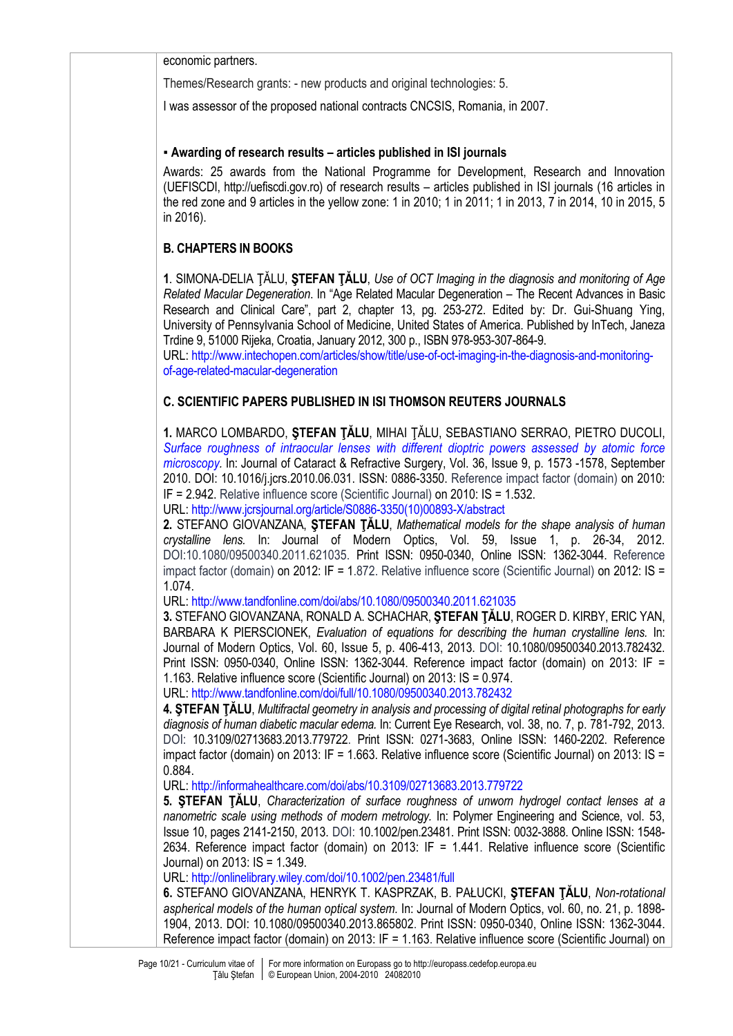economic partners.

Themes/Research grants: - new products and original technologies: 5.

I was assessor of the proposed national contracts CNCSIS, Romania, in 2007.

#### ▪ **Awarding of research results – articles published in ISI journals**

Awards: 25 awards from the National Programme for Development, Research and Innovation (UEFISCDI, http://uefiscdi.gov.ro) of research results – articles published in ISI journals (16 articles in the red zone and 9 articles in the yellow zone: 1 in 2010; 1 in 2011; 1 in 2013, 7 in 2014, 10 in 2015, 5 in 2016).

### **B. CHAPTERS IN BOOKS**

**1**. SIMONA-DELIA ŢĂLU, **ŞTEFAN ŢĂLU**, *Use of OCT Imaging in the diagnosis and monitoring of Age Related Macular Degeneration*. In "Age Related Macular Degeneration – The Recent Advances in Basic Research and Clinical Care", part 2, chapter 13, pg. 253-272. Edited by: Dr. Gui-Shuang Ying, University of Pennsylvania School of Medicine, United States of America. Published by InTech, Janeza Trdine 9, 51000 Rijeka, Croatia, January 2012, 300 p., ISBN 978-953-307-864-9.

URL: http://www.intechopen.com/articles/show/title/use-of-oct-imaging-in-the-diagnosis-and-monitoringof-age-related-macular-degeneration

# **C. SCIENTIFIC PAPERS PUBLISHED IN ISI THOMSON REUTERS JOURNALS**

**1.** MARCO LOMBARDO, **ŞTEFAN ŢĂLU**, MIHAI ŢĂLU, SEBASTIANO SERRAO, PIETRO DUCOLI, *Surface roughness of intraocular lenses with different dioptric powers assessed by atomic force microscopy.* In: Journal of Cataract & Refractive Surgery, Vol. 36, Issue 9, p. 1573 -1578, September 2010. DOI: 10.1016/j.jcrs.2010.06.031. ISSN: 0886-3350. Reference impact factor (domain) on 2010: IF = 2.942. Relative influence score (Scientific Journal) on 2010: IS = 1.532.

URL: http://www.jcrsjournal.org/article/S0886-3350(10)00893-X/abstract

**2.** STEFANO GIOVANZANA, **ŞTEFAN ŢĂLU**, *Mathematical models for the shape analysis of human crystalline lens.* In: Journal of Modern Optics, Vol. 59, Issue 1, p. 26-34, 2012. DOI:10.1080/09500340.2011.621035. Print ISSN: 0950-0340, Online ISSN: 1362-3044. Reference impact factor (domain) on 2012: IF = 1.872. Relative influence score (Scientific Journal) on 2012: IS = 1.074.

URL: http://www.tandfonline.com/doi/abs/10.1080/09500340.2011.621035

**3.** STEFANO GIOVANZANA, RONALD A. SCHACHAR, **ŞTEFAN ŢĂLU**, ROGER D. KIRBY, ERIC YAN, BARBARA K PIERSCIONEK, *Evaluation of equations for describing the human crystalline lens.* In: Journal of Modern Optics, Vol. 60, Issue 5, p. 406-413, 2013. DOI: 10.1080/09500340.2013.782432. Print ISSN: 0950-0340, Online ISSN: 1362-3044. Reference impact factor (domain) on 2013: IF = 1.163. Relative influence score (Scientific Journal) on 2013: IS = 0.974.

URL: http://www.tandfonline.com/doi/full/10.1080/09500340.2013.782432

**4. ŞTEFAN ŢĂLU**, *Multifractal geometry in analysis and processing of digital retinal photographs for early diagnosis of human diabetic macular edema.* In: Current Eye Research, vol. 38, no. 7, p. 781-792, 2013. DOI: 10.3109/02713683.2013.779722. Print ISSN: 0271-3683, Online ISSN: 1460-2202. Reference impact factor (domain) on 2013: IF = 1.663. Relative influence score (Scientific Journal) on 2013: IS = 0.884.

URL: http://informahealthcare.com/doi/abs/10.3109/02713683.2013.779722

**5. ŞTEFAN ŢĂLU**, *Characterization of surface roughness of unworn hydrogel contact lenses at a nanometric scale using methods of modern metrology.* In: Polymer Engineering and Science, vol. 53, Issue 10, pages 2141-2150, 2013. DOI: 10.1002/pen.23481. Print ISSN: 0032-3888. Online ISSN: 1548- 2634. Reference impact factor (domain) on 2013: IF = 1.441. Relative influence score (Scientific Journal) on 2013: IS = 1.349.

URL: http://onlinelibrary.wiley.com/doi/10.1002/pen.23481/full

**6.** STEFANO GIOVANZANA, HENRYK T. KASPRZAK, B. PAŁUCKI, **ŞTEFAN ŢĂLU**, *Non-rotational aspherical models of the human optical system.* In: Journal of Modern Optics, vol. 60, no. 21, p. 1898- 1904, 2013. DOI: 10.1080/09500340.2013.865802. Print ISSN: 0950-0340, Online ISSN: 1362-3044. Reference impact factor (domain) on 2013: IF = 1.163. Relative influence score (Scientific Journal) on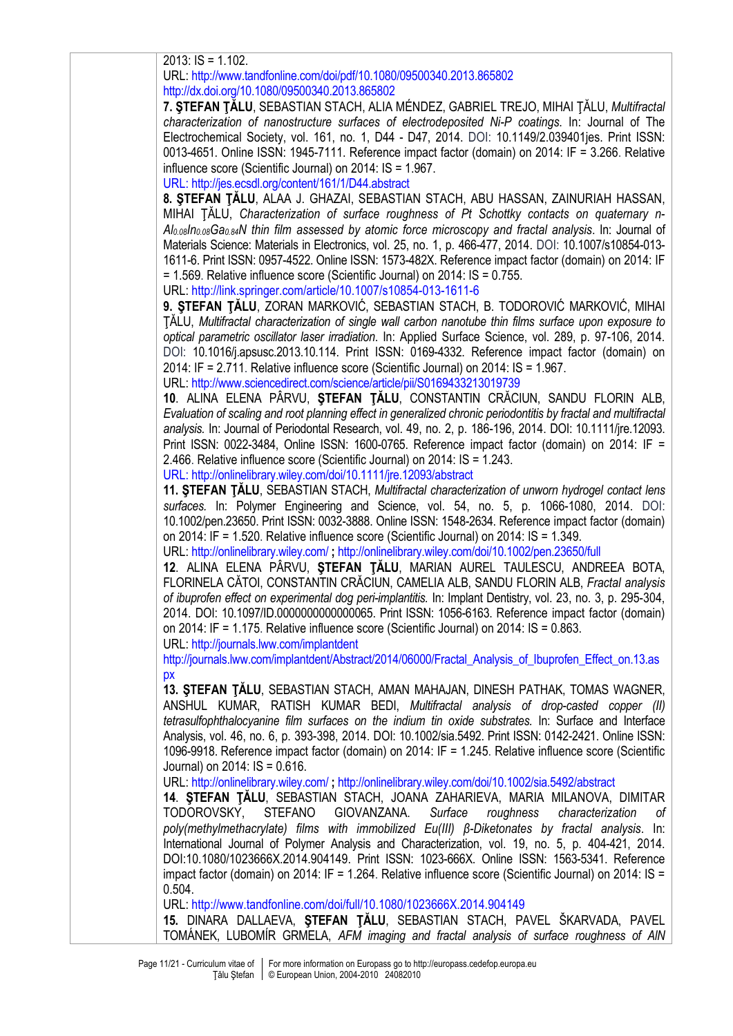2013: IS = 1.102.

URL: http://www.tandfonline.com/doi/pdf/10.1080/09500340.2013.865802 http://dx.doi.org/10.1080/09500340.2013.865802

**7. ŞTEFAN ŢĂLU**, SEBASTIAN STACH, ALIA MÉNDEZ, GABRIEL TREJO, MIHAI ŢĂLU, *Multifractal characterization of nanostructure surfaces of electrodeposited Ni-P coatings*. In: Journal of The Electrochemical Society, vol. 161, no. 1, D44 - D47, 2014. DOI: 10.1149/2.039401jes. Print ISSN: 0013-4651. Online ISSN: 1945-7111. Reference impact factor (domain) on 2014: IF = 3.266. Relative influence score (Scientific Journal) on 2014: IS = 1.967.

URL: http://jes.ecsdl.org/content/161/1/D44.abstract

**8. ŞTEFAN ŢĂLU**, ALAA J. GHAZAI, SEBASTIAN STACH, ABU HASSAN, ZAINURIAH HASSAN, MIHAI ŢĂLU, *Characterization of surface roughness of Pt Schottky contacts on quaternary n-Al0.08In0.08Ga0.84N thin film assessed by atomic force microscopy and fractal analysis*. In: Journal of Materials Science: Materials in Electronics, vol. 25, no. 1, p. 466-477, 2014. DOI: 10.1007/s10854-013- 1611-6. Print ISSN: 0957-4522. Online ISSN: 1573-482X. Reference impact factor (domain) on 2014: IF = 1.569. Relative influence score (Scientific Journal) on 2014: IS = 0.755. URL: http://link.springer.com/article/10.1007/s10854-013-1611-6

**9. ŞTEFAN ŢĂLU**, ZORAN MARKOVIĆ, SEBASTIAN STACH, B. TODOROVIĆ MARKOVIĆ, MIHAI ŢĂLU, *Multifractal characterization of single wall carbon nanotube thin films surface upon exposure to optical parametric oscillator laser irradiation*. In: Applied Surface Science, vol. 289, p. 97-106, 2014. DOI: 10.1016/j.apsusc.2013.10.114. Print ISSN: 0169-4332. Reference impact factor (domain) on 2014: IF = 2.711. Relative influence score (Scientific Journal) on 2014: IS = 1.967. URL: http://www.sciencedirect.com/science/article/pii/S0169433213019739

**10**. ALINA ELENA PÂRVU, **ŞTEFAN ŢĂLU**, CONSTANTIN CRĂCIUN, SANDU FLORIN ALB, *Evaluation of scaling and root planning effect in generalized chronic periodontitis by fractal and multifractal analysis.* In: Journal of Periodontal Research, vol. 49, no. 2, p. 186-196, 2014. DOI: 10.1111/jre.12093. Print ISSN: 0022-3484, Online ISSN: 1600-0765. Reference impact factor (domain) on 2014: IF = 2.466. Relative influence score (Scientific Journal) on 2014: IS = 1.243.

URL: http://onlinelibrary.wiley.com/doi/10.1111/jre.12093/abstract

**11. ŞTEFAN ŢĂLU**, SEBASTIAN STACH, *Multifractal characterization of unworn hydrogel contact lens surfaces.* In: Polymer Engineering and Science, vol. 54, no. 5, p. 1066-1080, 2014. DOI: 10.1002/pen.23650. Print ISSN: 0032-3888. Online ISSN: 1548-2634. Reference impact factor (domain) on 2014: IF = 1.520. Relative influence score (Scientific Journal) on 2014: IS = 1.349.

URL: http://onlinelibrary.wiley.com/ **;** http://onlinelibrary.wiley.com/doi/10.1002/pen.23650/full

**12**. ALINA ELENA PÂRVU, **ŞTEFAN ŢĂLU**, MARIAN AUREL TAULESCU, ANDREEA BOTA, FLORINELA CĂTOI, CONSTANTIN CRĂCIUN, CAMELIA ALB, SANDU FLORIN ALB, *Fractal analysis of ibuprofen effect on experimental dog peri-implantitis.* In: Implant Dentistry, vol. 23, no. 3, p. 295-304, 2014. DOI: 10.1097/ID.0000000000000065. Print ISSN: 1056-6163. Reference impact factor (domain) on 2014: IF = 1.175. Relative influence score (Scientific Journal) on 2014: IS = 0.863.

URL: http://journals.lww.com/implantdent

http://journals.lww.com/implantdent/Abstract/2014/06000/Fractal\_Analysis\_of\_Ibuprofen\_Effect\_on.13.as px

**13. ŞTEFAN ŢĂLU**, SEBASTIAN STACH, AMAN MAHAJAN, DINESH PATHAK, TOMAS WAGNER, ANSHUL KUMAR, RATISH KUMAR BEDI, *Multifractal analysis of drop-casted copper (II) tetrasulfophthalocyanine film surfaces on the indium tin oxide substrates.* In: Surface and Interface Analysis, vol. 46, no. 6, p. 393-398, 2014. DOI: 10.1002/sia.5492. Print ISSN: 0142-2421. Online ISSN: 1096-9918. Reference impact factor (domain) on 2014: IF = 1.245. Relative influence score (Scientific Journal) on 2014: IS = 0.616.

URL: http://onlinelibrary.wiley.com/ **;** http://onlinelibrary.wiley.com/doi/10.1002/sia.5492/abstract

**14**. **ŞTEFAN ŢĂLU**, SEBASTIAN STACH, JOANA ZAHARIEVA, MARIA MILANOVA, DIMITAR TODOROVSKY, STEFANO GIOVANZANA. *Surface roughness characterization of poly(methylmethacrylate) films with immobilized Eu(III) β-Diketonates by fractal analysis*. In: International Journal of Polymer Analysis and Characterization, vol. 19, no. 5, p. 404-421, 2014. DOI:10.1080/1023666X.2014.904149. Print ISSN: 1023-666X. Online ISSN: 1563-5341. Reference impact factor (domain) on 2014: IF = 1.264. Relative influence score (Scientific Journal) on 2014: IS = 0.504.

URL: http://www.tandfonline.com/doi/full/10.1080/1023666X.2014.904149

**15.** DINARA DALLAEVA, **ŞTEFAN ŢĂLU**, SEBASTIAN STACH, PAVEL ŠKARVADA, PAVEL TOMÁNEK, LUBOMÍR GRMELA, *AFM imaging and fractal analysis of surface roughness of AlN*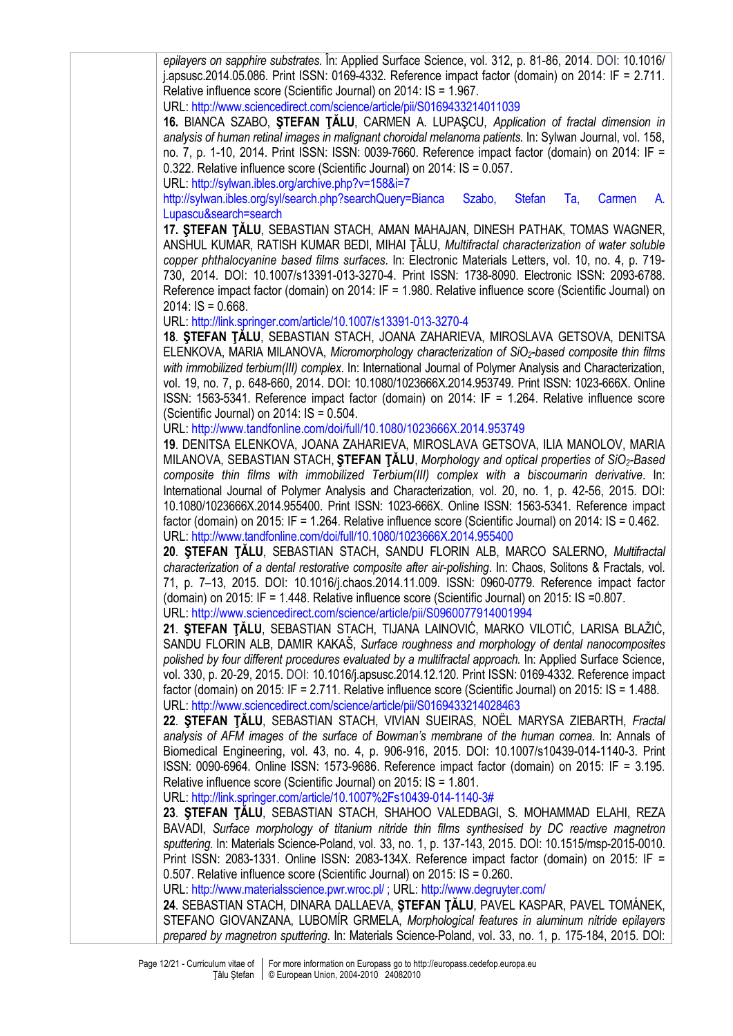*epilayers on sapphire substrates.* În: Applied Surface Science, vol. 312, p. 81-86, 2014. DOI: 10.1016/ j.apsusc.2014.05.086. Print ISSN: 0169-4332. Reference impact factor (domain) on 2014: IF = 2.711. Relative influence score (Scientific Journal) on 2014: IS = 1.967.

URL: http://www.sciencedirect.com/science/article/pii/S0169433214011039

**16.** BIANCA SZABO, **ŞTEFAN ŢĂLU**, CARMEN A. LUPAŞCU, *Application of fractal dimension in analysis of human retinal images in malignant choroidal melanoma patients.* In: Sylwan Journal, vol. 158, no. 7, p. 1-10, 2014. Print ISSN: ISSN: 0039-7660. Reference impact factor (domain) on 2014: IF = 0.322. Relative influence score (Scientific Journal) on 2014: IS = 0.057.

URL: http://sylwan.ibles.org/archive.php?v=158&i=7

http://sylwan.ibles.org/syl/search.php?searchQuery=Bianca Szabo, Stefan Ta, Carmen A. Lupascu&search=search

**17. ŞTEFAN ŢĂLU**, SEBASTIAN STACH, AMAN MAHAJAN, DINESH PATHAK, TOMAS WAGNER, ANSHUL KUMAR, RATISH KUMAR BEDI, MIHAI ŢĂLU, *Multifractal characterization of water soluble copper phthalocyanine based films surfaces.* In: Electronic Materials Letters, vol. 10, no. 4, p. 719- 730, 2014. DOI: 10.1007/s13391-013-3270-4. Print ISSN: 1738-8090. Electronic ISSN: 2093-6788. Reference impact factor (domain) on 2014: IF = 1.980. Relative influence score (Scientific Journal) on 2014:  $IS = 0.668$ .

URL: http://link.springer.com/article/10.1007/s13391-013-3270-4

**18**. **ŞTEFAN ŢĂLU**, SEBASTIAN STACH, JOANA ZAHARIEVA, MIROSLAVA GETSOVA, DENITSA ELENKOVA, MARIA MILANOVA, *Micromorphology characterization of SiO2-based composite thin films with immobilized terbium(III) complex*. In: International Journal of Polymer Analysis and Characterization, vol. 19, no. 7, p. 648-660, 2014. DOI: 10.1080/1023666X.2014.953749. Print ISSN: 1023-666X. Online ISSN: 1563-5341. Reference impact factor (domain) on 2014: IF = 1.264. Relative influence score (Scientific Journal) on 2014: IS = 0.504.

URL: http://www.tandfonline.com/doi/full/10.1080/1023666X.2014.953749

**19**. DENITSA ELENKOVA, JOANA ZAHARIEVA, MIROSLAVA GETSOVA, ILIA MANOLOV, MARIA MILANOVA, SEBASTIAN STACH, **ŞTEFAN ŢĂLU**, *Morphology and optical properties of SiO2-Based composite thin films with immobilized Terbium(III) complex with a biscoumarin derivative*. In: International Journal of Polymer Analysis and Characterization, vol. 20, no. 1, p. 42-56, 2015. DOI: 10.1080/1023666X.2014.955400. Print ISSN: 1023-666X. Online ISSN: 1563-5341. Reference impact factor (domain) on 2015: IF = 1.264. Relative influence score (Scientific Journal) on 2014: IS = 0.462. URL: http://www.tandfonline.com/doi/full/10.1080/1023666X.2014.955400

**20**. **ŞTEFAN ŢĂLU**, SEBASTIAN STACH, SANDU FLORIN ALB, MARCO SALERNO, *Multifractal characterization of a dental restorative composite after air-polishing*. In: Chaos, Solitons & Fractals, vol. 71, p. 7–13, 2015. DOI: 10.1016/j.chaos.2014.11.009. ISSN: 0960-0779. Reference impact factor (domain) on 2015: IF = 1.448. Relative influence score (Scientific Journal) on 2015: IS =0.807. URL: http://www.sciencedirect.com/science/article/pii/S0960077914001994

**21**. **ŞTEFAN ŢĂLU**, SEBASTIAN STACH, TIJANA LAINOVIĆ, MARKO VILOTIĆ, LARISA BLAŽIĆ, SANDU FLORIN ALB, DAMIR KAKAŠ, *Surface roughness and morphology of dental nanocomposites polished by four different procedures evaluated by a multifractal approach.* In: Applied Surface Science, vol. 330, p. 20-29, 2015. DOI: 10.1016/j.apsusc.2014.12.120. Print ISSN: 0169-4332. Reference impact factor (domain) on 2015: IF = 2.711. Relative influence score (Scientific Journal) on 2015: IS = 1.488. URL: http://www.sciencedirect.com/science/article/pii/S0169433214028463

**22**. **ŞTEFAN ŢĂLU**, SEBASTIAN STACH, VIVIAN SUEIRAS, NOËL MARYSA ZIEBARTH, *Fractal analysis of AFM images of the surface of Bowman's membrane of the human cornea*. In: Annals of Biomedical Engineering, vol. 43, no. 4, p. 906-916, 2015. DOI: 10.1007/s10439-014-1140-3. Print ISSN: 0090-6964. Online ISSN: 1573-9686. Reference impact factor (domain) on 2015: IF = 3.195. Relative influence score (Scientific Journal) on 2015: IS = 1.801.

URL: http://link.springer.com/article/10.1007%2Fs10439-014-1140-3#

**23**. **ŞTEFAN ŢĂLU**, SEBASTIAN STACH, SHAHOO VALEDBAGI, S. MOHAMMAD ELAHI, REZA BAVADI, *Surface morphology of titanium nitride thin films synthesised by DC reactive magnetron sputtering.* In: Materials Science-Poland, vol. 33, no. 1, p. 137-143, 2015. DOI: 10.1515/msp-2015-0010. Print ISSN: 2083-1331. Online ISSN: 2083-134X. Reference impact factor (domain) on 2015: IF = 0.507. Relative influence score (Scientific Journal) on 2015: IS = 0.260.

URL: http://www.materialsscience.pwr.wroc.pl/ ; URL: http://www.degruyter.com/

**24**. SEBASTIAN STACH, DINARA DALLAEVA, **ŞTEFAN ŢĂLU**, PAVEL KASPAR, PAVEL TOMÁNEK, STEFANO GIOVANZANA, LUBOMÍR GRMELA, *Morphological features in aluminum nitride epilayers prepared by magnetron sputtering*. In: Materials Science-Poland, vol. 33, no. 1, p. 175-184, 2015. DOI: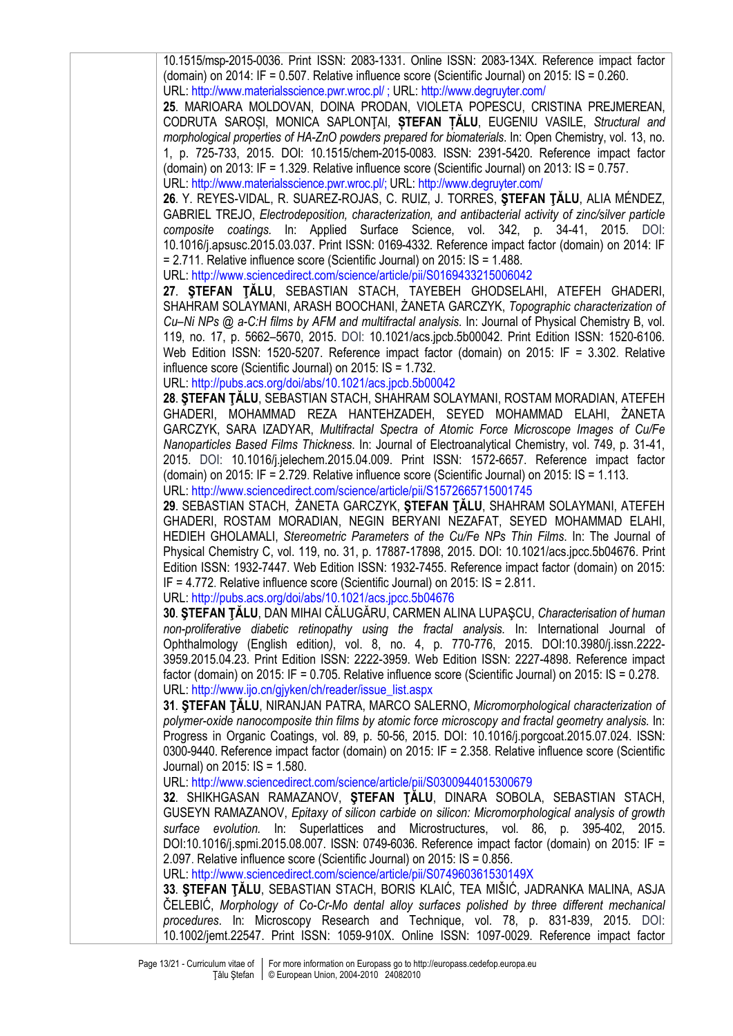10.1515/msp-2015-0036. Print ISSN: 2083-1331. Online ISSN: 2083-134X. Reference impact factor (domain) on 2014: IF = 0.507. Relative influence score (Scientific Journal) on 2015: IS = 0.260. URL: http://www.materialsscience.pwr.wroc.pl/ ; URL: http://www.degruyter.com/

**25**. MARIOARA MOLDOVAN, DOINA PRODAN, VIOLETA POPESCU, CRISTINA PREJMEREAN, CODRUTA SAROȘI, MONICA SAPLONŢAI, **ȘTEFAN ȚĂLU**, EUGENIU VASILE, *Structural and morphological properties of HA-ZnO powders prepared for biomaterials*. In: Open Chemistry, vol. 13, no. 1, p. 725-733, 2015. DOI: 10.1515/chem-2015-0083. ISSN: 2391-5420. Reference impact factor (domain) on 2013: IF = 1.329. Relative influence score (Scientific Journal) on 2013: IS = 0.757. URL: http://www.materialsscience.pwr.wroc.pl/; URL: http://www.degruyter.com/

**26**. Y. REYES-VIDAL, R. SUAREZ-ROJAS, C. RUIZ, J. TORRES, **ŞTEFAN ŢĂLU**, ALIA MÉNDEZ, GABRIEL TREJO, *Electrodeposition, characterization, and antibacterial activity of zinc/silver particle composite coatings.* In: Applied Surface Science, vol. 342, p. 34-41, 2015. DOI: 10.1016/j.apsusc.2015.03.037. Print ISSN: 0169-4332. Reference impact factor (domain) on 2014: IF = 2.711. Relative influence score (Scientific Journal) on 2015: IS = 1.488.

URL: http://www.sciencedirect.com/science/article/pii/S0169433215006042

**27**. **ŞTEFAN ŢĂLU**, SEBASTIAN STACH, TAYEBEH GHODSELAHI, ATEFEH GHADERI, SHAHRAM SOLAYMANI, ARASH BOOCHANI, ŻANETA GARCZYK, *Topographic characterization of Cu–Ni NPs @ a-C:H films by AFM and multifractal analysis.* In: Journal of Physical Chemistry B, vol. 119, no. 17, p. 5662–5670, 2015. DOI: 10.1021/acs.jpcb.5b00042. Print Edition ISSN: 1520-6106. Web Edition ISSN: 1520-5207. Reference impact factor (domain) on 2015: IF = 3.302. Relative influence score (Scientific Journal) on 2015: IS = 1.732.

URL: http://pubs.acs.org/doi/abs/10.1021/acs.jpcb.5b00042

**28**. **ŞTEFAN ŢĂLU**, SEBASTIAN STACH, SHAHRAM SOLAYMANI, ROSTAM MORADIAN, ATEFEH GHADERI, MOHAMMAD REZA HANTEHZADEH, SEYED MOHAMMAD ELAHI, ŻANETA GARCZYK, SARA IZADYAR, *Multifractal Spectra of Atomic Force Microscope Images of Cu/Fe Nanoparticles Based Films Thickness*. In: Journal of Electroanalytical Chemistry, vol. 749, p. 31-41, 2015. DOI: 10.1016/j.jelechem.2015.04.009. Print ISSN: 1572-6657. Reference impact factor (domain) on 2015: IF = 2.729. Relative influence score (Scientific Journal) on 2015: IS = 1.113. URL: http://www.sciencedirect.com/science/article/pii/S1572665715001745

**29**. SEBASTIAN STACH, ŻANETA GARCZYK, **ŞTEFAN ŢĂLU**, SHAHRAM SOLAYMANI, ATEFEH GHADERI, ROSTAM MORADIAN, NEGIN BERYANI NEZAFAT, SEYED MOHAMMAD ELAHI, HEDIEH GHOLAMALI, *Stereometric Parameters of the Cu/Fe NPs Thin Films*. In: The Journal of Physical Chemistry C, vol. 119, no. 31, p. 17887-17898, 2015. DOI: 10.1021/acs.jpcc.5b04676. Print Edition ISSN: 1932-7447. Web Edition ISSN: 1932-7455. Reference impact factor (domain) on 2015: IF = 4.772. Relative influence score (Scientific Journal) on 2015: IS = 2.811.

URL: http://pubs.acs.org/doi/abs/10.1021/acs.jpcc.5b04676

**30**. **ŞTEFAN ŢĂLU**, DAN MIHAI CĂLUGĂRU, CARMEN ALINA LUPAŞCU, *Characterisation of human non-proliferative diabetic retinopathy using the fractal analysis*. In: International Journal of Ophthalmology (English edition*)*, vol. 8, no. 4, p. 770-776, 2015. DOI:10.3980/j.issn.2222- 3959.2015.04.23. Print Edition ISSN: 2222-3959. Web Edition ISSN: 2227-4898. Reference impact factor (domain) on 2015: IF = 0.705. Relative influence score (Scientific Journal) on 2015: IS = 0.278. URL: http://www.ijo.cn/gjyken/ch/reader/issue\_list.aspx

**31**. **ŞTEFAN ŢĂLU**, NIRANJAN PATRA, MARCO SALERNO, *Micromorphological characterization of polymer-oxide nanocomposite thin films by atomic force microscopy and fractal geometry analysis.* In: Progress in Organic Coatings, vol. 89, p. 50-56, 2015. DOI: 10.1016/j.porgcoat.2015.07.024. ISSN: 0300-9440. Reference impact factor (domain) on 2015: IF = 2.358. Relative influence score (Scientific Journal) on 2015: IS = 1.580.

URL: http://www.sciencedirect.com/science/article/pii/S0300944015300679

**32**. SHIKHGASAN RAMAZANOV, **ŞTEFAN ŢĂLU**, DINARA SOBOLA, SEBASTIAN STACH, GUSEYN RAMAZANOV, *Epitaxy of silicon carbide on silicon: Micromorphological analysis of growth surface evolution.* In: Superlattices and Microstructures, vol. 86, p. 395-402, 2015. DOI:10.1016/j.spmi.2015.08.007. ISSN: 0749-6036. Reference impact factor (domain) on 2015: IF = 2.097. Relative influence score (Scientific Journal) on 2015: IS = 0.856.

URL: http://www.sciencedirect.com/science/article/pii/S074960361530149X

**33**. **ŞTEFAN ŢĂLU**, SEBASTIAN STACH, BORIS KLAIĆ, TEA MIŠIĆ, JADRANKA MALINA, ASJA ČELEBIĆ, *Morphology of Co-Cr-Mo dental alloy surfaces polished by three different mechanical procedures*. In: Microscopy Research and Technique, vol. 78, p. 831-839, 2015. DOI: 10.1002/jemt.22547. Print ISSN: 1059-910X. Online ISSN: 1097-0029. Reference impact factor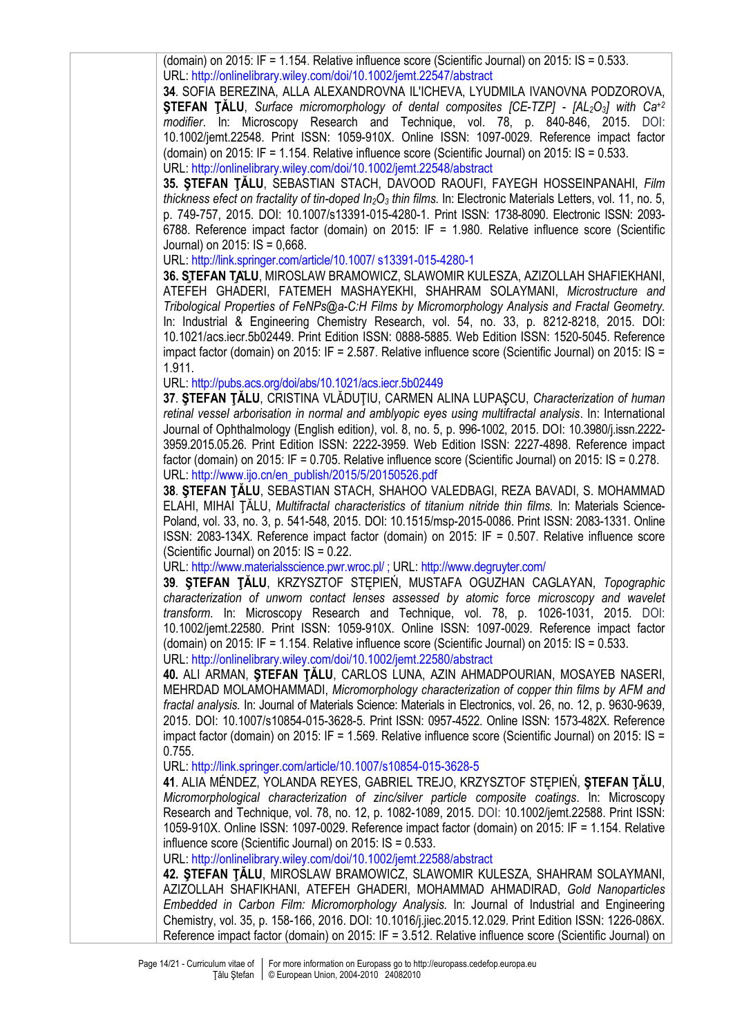(domain) on 2015: IF = 1.154. Relative influence score (Scientific Journal) on 2015: IS = 0.533. URL: http://onlinelibrary.wiley.com/doi/10.1002/jemt.22547/abstract

**34**. SOFIA BEREZINA, ALLA ALEXANDROVNA IL'ICHEVA, LYUDMILA IVANOVNA PODZOROVA, **STEFAN TALU**, *Surface micromorphology of dental composites [CE-TZP] - [AL<sub>2</sub>O<sub>3</sub>] with Ca<sup>+2</sup> modifier*. In: Microscopy Research and Technique, vol. 78, p. 840-846, 2015. DOI: 10.1002/jemt.22548. Print ISSN: 1059-910X. Online ISSN: 1097-0029. Reference impact factor (domain) on 2015: IF = 1.154. Relative influence score (Scientific Journal) on 2015: IS = 0.533. URL: http://onlinelibrary.wiley.com/doi/10.1002/jemt.22548/abstract

**35. ŞTEFAN ŢĂLU**, SEBASTIAN STACH, DAVOOD RAOUFI, FAYEGH HOSSEINPANAHI, *Film thickness efect on fractality of tin-doped In2O3 thin films.* In: Electronic Materials Letters, vol. 11, no. 5, p. 749-757, 2015. DOI: 10.1007/s13391-015-4280-1. Print ISSN: 1738-8090. Electronic ISSN: 2093- 6788. Reference impact factor (domain) on 2015: IF = 1.980. Relative influence score (Scientific Journal) on 2015: IS = 0,668.

URL: http://link.springer.com/article/10.1007/ s13391-015-4280-1

**36. ŞTEFAN ŢĂLU**, MIROSLAW BRAMOWICZ, SLAWOMIR KULESZA, AZIZOLLAH SHAFIEKHANI, ATEFEH GHADERI, FATEMEH MASHAYEKHI, SHAHRAM SOLAYMANI, *Microstructure and Tribological Properties of FeNPs@a-C:H Films by Micromorphology Analysis and Fractal Geometry.*  In: Industrial & Engineering Chemistry Research, vol. 54, no. 33, p. 8212-8218, 2015. DOI: 10.1021/acs.iecr.5b02449. Print Edition ISSN: 0888-5885. Web Edition ISSN: 1520-5045. Reference impact factor (domain) on 2015: IF = 2.587. Relative influence score (Scientific Journal) on 2015: IS = 1.911.

URL: http://pubs.acs.org/doi/abs/10.1021/acs.iecr.5b02449

**37**. **ŞTEFAN ŢĂLU**, CRISTINA VLĂDUŢIU, CARMEN ALINA LUPAŞCU, *Characterization of human retinal vessel arborisation in normal and amblyopic eyes using multifractal analysis*. In: International Journal of Ophthalmology (English edition*)*, vol. 8, no. 5, p. 996-1002, 2015. DOI: 10.3980/j.issn.2222- 3959.2015.05.26. Print Edition ISSN: 2222-3959. Web Edition ISSN: 2227-4898. Reference impact factor (domain) on 2015: IF = 0.705. Relative influence score (Scientific Journal) on 2015: IS = 0.278. URL: http://www.ijo.cn/en\_publish/2015/5/20150526.pdf

**38**. **ŞTEFAN ŢĂLU**, SEBASTIAN STACH, SHAHOO VALEDBAGI, REZA BAVADI, S. MOHAMMAD ELAHI, MIHAI ŢĂLU, *Multifractal characteristics of titanium nitride thin films.* In: Materials Science-Poland, vol. 33, no. 3, p. 541-548, 2015. DOI: 10.1515/msp-2015-0086. Print ISSN: 2083-1331. Online ISSN: 2083-134X. Reference impact factor (domain) on 2015: IF = 0.507. Relative influence score (Scientific Journal) on 2015: IS = 0.22.

URL: http://www.materialsscience.pwr.wroc.pl/ ; URL: http://www.degruyter.com/

**39**. **ŞTEFAN ŢĂLU**, KRZYSZTOF STĘPIEŃ, MUSTAFA OGUZHAN CAGLAYAN, *Topographic characterization of unworn contact lenses assessed by atomic force microscopy and wavelet transform*. In: Microscopy Research and Technique, vol. 78, p. 1026-1031, 2015. DOI: 10.1002/jemt.22580. Print ISSN: 1059-910X. Online ISSN: 1097-0029. Reference impact factor (domain) on 2015: IF = 1.154. Relative influence score (Scientific Journal) on 2015: IS = 0.533. URL: http://onlinelibrary.wiley.com/doi/10.1002/jemt.22580/abstract

**40.** ALI ARMAN, **ŞTEFAN ŢĂLU**, CARLOS LUNA, AZIN AHMADPOURIAN, MOSAYEB NASERI, MEHRDAD MOLAMOHAMMADI, *Micromorphology characterization of copper thin films by AFM and fractal analysis.* In: Journal of Materials Science: Materials in Electronics, vol. 26, no. 12, p. 9630-9639, 2015. DOI: 10.1007/s10854-015-3628-5. Print ISSN: 0957-4522. Online ISSN: 1573-482X. Reference impact factor (domain) on 2015: IF = 1.569. Relative influence score (Scientific Journal) on 2015: IS = 0.755.

URL: http://link.springer.com/article/10.1007/s10854-015-3628-5

**41**. ALIA MÉNDEZ, YOLANDA REYES, GABRIEL TREJO, KRZYSZTOF STĘPIEŃ, **ŞTEFAN ŢĂLU**, *Micromorphological characterization of zinc/silver particle composite coatings*. In: Microscopy Research and Technique, vol. 78, no. 12, p. 1082-1089, 2015. DOI: 10.1002/jemt.22588. Print ISSN: 1059-910X. Online ISSN: 1097-0029. Reference impact factor (domain) on 2015: IF = 1.154. Relative influence score (Scientific Journal) on 2015: IS = 0.533.

URL: http://onlinelibrary.wiley.com/doi/10.1002/jemt.22588/abstract

**42. ŞTEFAN ŢĂLU**, MIROSLAW BRAMOWICZ, SLAWOMIR KULESZA, SHAHRAM SOLAYMANI, AZIZOLLAH SHAFIKHANI, ATEFEH GHADERI, MOHAMMAD AHMADIRAD, *Gold Nanoparticles Embedded in Carbon Film: Micromorphology Analysis.* In: Journal of Industrial and Engineering Chemistry, vol. 35, p. 158-166, 2016. DOI: 10.1016/j.jiec.2015.12.029. Print Edition ISSN: 1226-086X. Reference impact factor (domain) on 2015: IF = 3.512. Relative influence score (Scientific Journal) on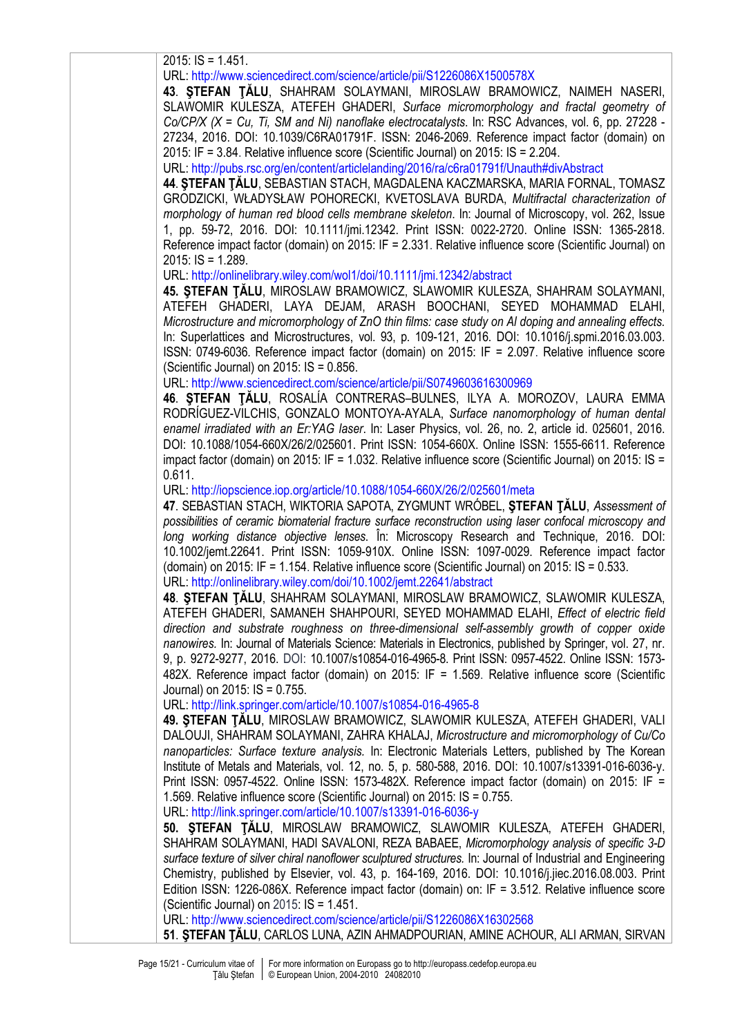2015: IS = 1.451.

URL: http://www.sciencedirect.com/science/article/pii/S1226086X1500578X

**43**. **ŞTEFAN ŢĂLU**, SHAHRAM SOLAYMANI, MIROSLAW BRAMOWICZ, NAIMEH NASERI, SLAWOMIR KULESZA, ATEFEH GHADERI, *Surface micromorphology and fractal geometry of Co/CP/X (X = Cu, Ti, SM and Ni) nanoflake electrocatalysts*. In: RSC Advances, vol. 6, pp. 27228 - 27234, 2016. DOI: 10.1039/C6RA01791F. ISSN: 2046-2069. Reference impact factor (domain) on 2015: IF = 3.84. Relative influence score (Scientific Journal) on 2015: IS = 2.204.

URL: http://pubs.rsc.org/en/content/articlelanding/2016/ra/c6ra01791f/Unauth#divAbstract

**44**. **ŞTEFAN ŢĂLU**, SEBASTIAN STACH, MAGDALENA KACZMARSKA, MARIA FORNAL, TOMASZ GRODZICKI, WŁADYSŁAW POHORECKI, KVETOSLAVA BURDA, *Multifractal characterization of morphology of human red blood cells membrane skeleton*. In: Journal of Microscopy, vol. 262, Issue 1, pp. 59-72, 2016. DOI: 10.1111/jmi.12342. Print ISSN: 0022-2720. Online ISSN: 1365-2818. Reference impact factor (domain) on 2015: IF = 2.331. Relative influence score (Scientific Journal) on 2015: IS = 1.289.

URL: http://onlinelibrary.wiley.com/wol1/doi/10.1111/jmi.12342/abstract

**45. ŞTEFAN ŢĂLU**, MIROSLAW BRAMOWICZ, SLAWOMIR KULESZA, SHAHRAM SOLAYMANI, ATEFEH GHADERI, LAYA DEJAM, ARASH BOOCHANI, SEYED MOHAMMAD ELAHI, *Microstructure and micromorphology of ZnO thin films: case study on Al doping and annealing effects.*  In: Superlattices and Microstructures, vol. 93, p. 109-121, 2016. DOI: 10.1016/j.spmi.2016.03.003. ISSN: 0749-6036. Reference impact factor (domain) on 2015: IF = 2.097. Relative influence score (Scientific Journal) on 2015: IS = 0.856.

URL: http://www.sciencedirect.com/science/article/pii/S0749603616300969

**46**. **ŞTEFAN ŢĂLU**, ROSALÍA CONTRERAS–BULNES, ILYA A. MOROZOV, LAURA EMMA RODRÍGUEZ-VILCHIS, GONZALO MONTOYA-AYALA, *Surface nanomorphology of human dental enamel irradiated with an Er:YAG laser*. In: Laser Physics, vol. 26, no. 2, article id. 025601, 2016. DOI: 10.1088/1054-660X/26/2/025601. Print ISSN: 1054-660X. Online ISSN: 1555-6611. Reference impact factor (domain) on 2015: IF = 1.032. Relative influence score (Scientific Journal) on 2015: IS = 0.611.

URL: http://iopscience.iop.org/article/10.1088/1054-660X/26/2/025601/meta

**47**. SEBASTIAN STACH, WIKTORIA SAPOTA, ZYGMUNT WRÓBEL, **ŞTEFAN ŢĂLU**, *Assessment of possibilities of ceramic biomaterial fracture surface reconstruction using laser confocal microscopy and long working distance objective lenses*. În: Microscopy Research and Technique, 2016. DOI: 10.1002/jemt.22641. Print ISSN: 1059-910X. Online ISSN: 1097-0029. Reference impact factor (domain) on 2015: IF = 1.154. Relative influence score (Scientific Journal) on 2015: IS = 0.533. URL: http://onlinelibrary.wiley.com/doi/10.1002/jemt.22641/abstract

**48**. **ŞTEFAN ŢĂLU**, SHAHRAM SOLAYMANI, MIROSLAW BRAMOWICZ, SLAWOMIR KULESZA, ATEFEH GHADERI, SAMANEH SHAHPOURI, SEYED MOHAMMAD ELAHI, *Effect of electric field* 

*direction and substrate roughness on three-dimensional self-assembly growth of copper oxide nanowires.* In: Journal of Materials Science: Materials in Electronics, published by Springer, vol. 27, nr. 9, p. 9272-9277, 2016. DOI: 10.1007/s10854-016-4965-8. Print ISSN: 0957-4522. Online ISSN: 1573- 482X. Reference impact factor (domain) on 2015: IF = 1.569. Relative influence score (Scientific Journal) on 2015: IS = 0.755.

URL: http://link.springer.com/article/10.1007/s10854-016-4965-8

**49. ŞTEFAN ŢĂLU**, MIROSLAW BRAMOWICZ, SLAWOMIR KULESZA, ATEFEH GHADERI, VALI DALOUJI, SHAHRAM SOLAYMANI, ZAHRA KHALAJ, *Microstructure and micromorphology of Cu/Co nanoparticles: Surface texture analysis.* In: Electronic Materials Letters, published by The Korean Institute of Metals and Materials, vol. 12, no. 5, p. 580-588, 2016. DOI: 10.1007/s13391-016-6036-y. Print ISSN: 0957-4522. Online ISSN: 1573-482X. Reference impact factor (domain) on 2015: IF = 1.569. Relative influence score (Scientific Journal) on 2015: IS = 0.755. URL: http://link.springer.com/article/10.1007/s13391-016-6036-y

**50. ŞTEFAN ŢĂLU**, MIROSLAW BRAMOWICZ, SLAWOMIR KULESZA, ATEFEH GHADERI, SHAHRAM SOLAYMANI, HADI SAVALONI, REZA BABAEE, *Micromorphology analysis of specific 3-D surface texture of silver chiral nanoflower sculptured structures.* In: Journal of Industrial and Engineering Chemistry, published by Elsevier, vol. 43, p. 164-169, 2016. DOI: 10.1016/j.jiec.2016.08.003. Print Edition ISSN: 1226-086X. Reference impact factor (domain) on: IF = 3.512. Relative influence score (Scientific Journal) on 2015: IS = 1.451.

URL: http://www.sciencedirect.com/science/article/pii/S1226086X16302568

**51**. **ŞTEFAN ŢĂLU**, CARLOS LUNA, AZIN AHMADPOURIAN, AMINE ACHOUR, ALI ARMAN, SIRVAN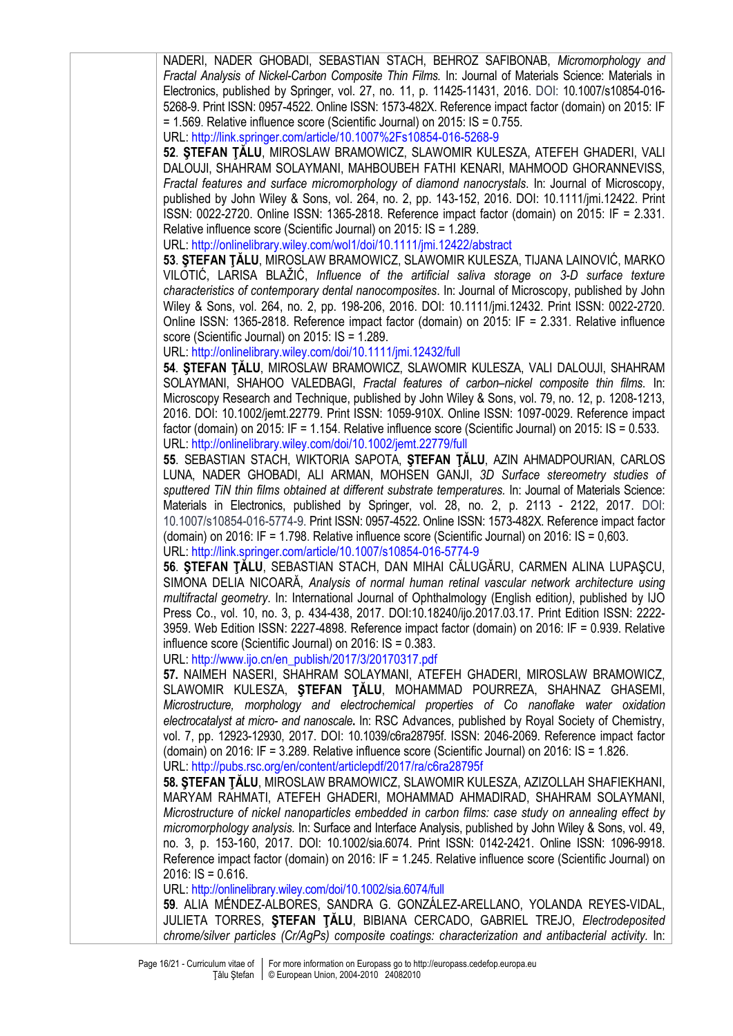NADERI, NADER GHOBADI, SEBASTIAN STACH, BEHROZ SAFIBONAB, *Micromorphology and Fractal Analysis of Nickel-Carbon Composite Thin Films.* In: Journal of Materials Science: Materials in Electronics, published by Springer, vol. 27, no. 11, p. 11425-11431, 2016. DOI: 10.1007/s10854-016- 5268-9. Print ISSN: 0957-4522. Online ISSN: 1573-482X. Reference impact factor (domain) on 2015: IF = 1.569. Relative influence score (Scientific Journal) on 2015: IS = 0.755.

URL: http://link.springer.com/article/10.1007%2Fs10854-016-5268-9

**52**. **ŞTEFAN ŢĂLU**, MIROSLAW BRAMOWICZ, SLAWOMIR KULESZA, ATEFEH GHADERI, VALI DALOUJI, SHAHRAM SOLAYMANI, MAHBOUBEH FATHI KENARI, MAHMOOD GHORANNEVISS, *Fractal features and surface micromorphology of diamond nanocrystals*. In: Journal of Microscopy, published by John Wiley & Sons, vol. 264, no. 2, pp. 143-152, 2016. DOI: 10.1111/jmi.12422. Print ISSN: 0022-2720. Online ISSN: 1365-2818. Reference impact factor (domain) on 2015: IF = 2.331. Relative influence score (Scientific Journal) on 2015: IS = 1.289.

URL: http://onlinelibrary.wiley.com/wol1/doi/10.1111/jmi.12422/abstract

**53**. **ŞTEFAN ŢĂLU**, MIROSLAW BRAMOWICZ, SLAWOMIR KULESZA, TIJANA LAINOVIĆ, MARKO VILOTIĆ, LARISA BLAŽIĆ, *Influence of the artificial saliva storage on 3-D surface texture characteristics of contemporary dental nanocomposites*. In: Journal of Microscopy, published by John Wiley & Sons, vol. 264, no. 2, pp. 198-206, 2016. DOI: 10.1111/jmi.12432. Print ISSN: 0022-2720. Online ISSN: 1365-2818. Reference impact factor (domain) on 2015: IF = 2.331. Relative influence score (Scientific Journal) on 2015: IS = 1.289.

URL: http://onlinelibrary.wiley.com/doi/10.1111/jmi.12432/full

**54**. **ŞTEFAN ŢĂLU**, MIROSLAW BRAMOWICZ, SLAWOMIR KULESZA, VALI DALOUJI, SHAHRAM SOLAYMANI, SHAHOO VALEDBAGI, *Fractal features of carbon–nickel composite thin films*. In: Microscopy Research and Technique, published by John Wiley & Sons, vol. 79, no. 12, p. 1208-1213, 2016. DOI: 10.1002/jemt.22779. Print ISSN: 1059-910X. Online ISSN: 1097-0029. Reference impact factor (domain) on 2015: IF = 1.154. Relative influence score (Scientific Journal) on 2015: IS = 0.533. URL: http://onlinelibrary.wiley.com/doi/10.1002/jemt.22779/full

**55**. SEBASTIAN STACH, WIKTORIA SAPOTA, **ŞTEFAN ŢĂLU**, AZIN AHMADPOURIAN, CARLOS LUNA, NADER GHOBADI, ALI ARMAN, MOHSEN GANJI, *3D Surface stereometry studies of*  sputtered TiN thin films obtained at different substrate temperatures. In: Journal of Materials Science: Materials in Electronics, published by Springer, vol. 28, no. 2, p. 2113 - 2122, 2017. DOI: 10.1007/s10854-016-5774-9. Print ISSN: 0957-4522. Online ISSN: 1573-482X. Reference impact factor (domain) on 2016: IF = 1.798. Relative influence score (Scientific Journal) on 2016: IS = 0,603. URL: http://link.springer.com/article/10.1007/s10854-016-5774-9

**56**. **ŞTEFAN ŢĂLU**, SEBASTIAN STACH, DAN MIHAI CĂLUGĂRU, CARMEN ALINA LUPAŞCU, SIMONA DELIA NICOARĂ, *Analysis of normal human retinal vascular network architecture using multifractal geometry*. In: International Journal of Ophthalmology (English edition*)*, published by IJO Press Co., vol. 10, no. 3, p. 434-438, 2017. DOI:10.18240/ijo.2017.03.17. Print Edition ISSN: 2222- 3959. Web Edition ISSN: 2227-4898. Reference impact factor (domain) on 2016: IF = 0.939. Relative influence score (Scientific Journal) on 2016: IS = 0.383.

URL: http://www.ijo.cn/en\_publish/2017/3/20170317.pdf

**57.** NAIMEH NASERI, SHAHRAM SOLAYMANI, ATEFEH GHADERI, MIROSLAW BRAMOWICZ, SLAWOMIR KULESZA, **ŞTEFAN ŢĂLU**, MOHAMMAD POURREZA, SHAHNAZ GHASEMI, *Microstructure, morphology and electrochemical properties of Co nanoflake water oxidation electrocatalyst at micro- and nanoscale***.** In: RSC Advances, published by Royal Society of Chemistry, vol. 7, pp. 12923-12930, 2017. DOI: 10.1039/c6ra28795f. ISSN: 2046-2069. Reference impact factor (domain) on 2016: IF = 3.289. Relative influence score (Scientific Journal) on 2016: IS = 1.826. URL: http://pubs.rsc.org/en/content/articlepdf/2017/ra/c6ra28795f

**58. ŞTEFAN ŢĂLU**, MIROSLAW BRAMOWICZ, SLAWOMIR KULESZA, AZIZOLLAH SHAFIEKHANI, MARYAM RAHMATI, ATEFEH GHADERI, MOHAMMAD AHMADIRAD, SHAHRAM SOLAYMANI, *Microstructure of nickel nanoparticles embedded in carbon films: case study on annealing effect by micromorphology analysis.* In: Surface and Interface Analysis, published by John Wiley & Sons, vol. 49, no. 3, p. 153-160, 2017. DOI: 10.1002/sia.6074. Print ISSN: 0142-2421. Online ISSN: 1096-9918. Reference impact factor (domain) on 2016: IF = 1.245. Relative influence score (Scientific Journal) on  $2016$ : IS = 0.616.

URL: http://onlinelibrary.wiley.com/doi/10.1002/sia.6074/full

**59**. ALIA MÉNDEZ-ALBORES, SANDRA G. GONZÁLEZ-ARELLANO, YOLANDA REYES-VIDAL, JULIETA TORRES, **ŞTEFAN ŢĂLU**, BIBIANA CERCADO, GABRIEL TREJO, *Electrodeposited chrome/silver particles (Cr/AgPs) composite coatings: characterization and antibacterial activity.* In: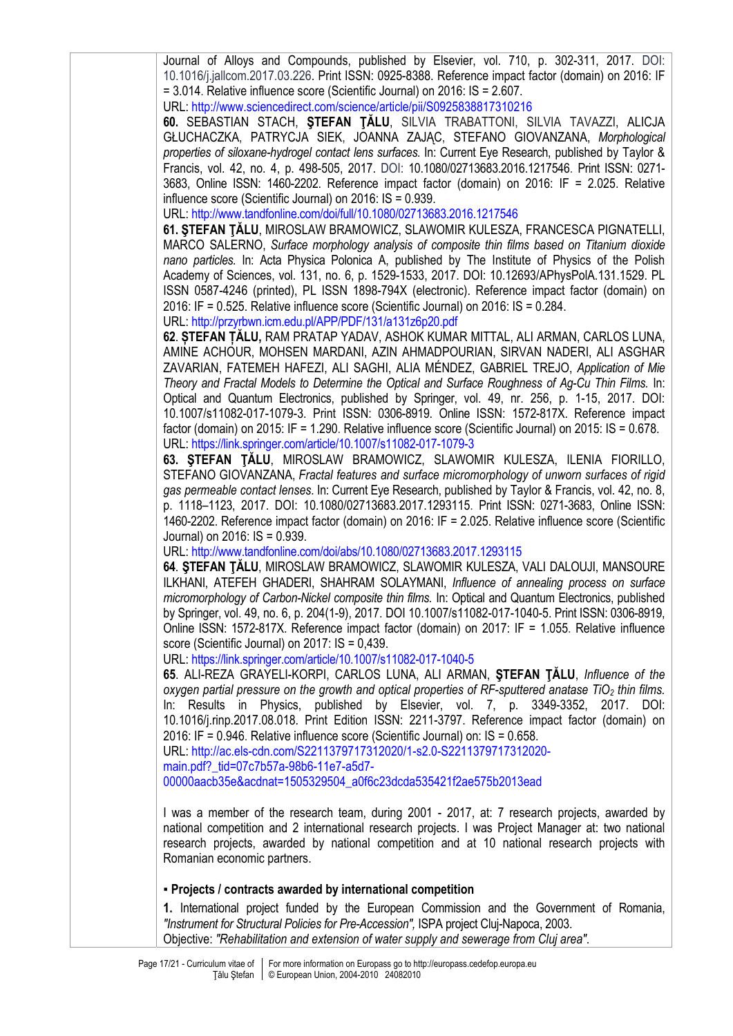Journal of Alloys and Compounds, published by Elsevier, vol. 710, p. 302-311, 2017. DOI: 10.1016/j.jallcom.2017.03.226. Print ISSN: 0925-8388. Reference impact factor (domain) on 2016: IF = 3.014. Relative influence score (Scientific Journal) on 2016: IS = 2.607.

URL: http://www.sciencedirect.com/science/article/pii/S0925838817310216

**60.** SEBASTIAN STACH, **ŞTEFAN ŢĂLU**, SILVIA TRABATTONI, SILVIA TAVAZZI, ALICJA GŁUCHACZKA, PATRYCJA SIEK, JOANNA ZAJĄC, STEFANO GIOVANZANA, *Morphological properties of siloxane-hydrogel contact lens surfaces.* In: Current Eye Research, published by Taylor & Francis, vol. 42, no. 4, p. 498-505, 2017. DOI: 10.1080/02713683.2016.1217546. Print ISSN: 0271- 3683, Online ISSN: 1460-2202. Reference impact factor (domain) on 2016: IF = 2.025. Relative influence score (Scientific Journal) on 2016: IS = 0.939.

URL: http://www.tandfonline.com/doi/full/10.1080/02713683.2016.1217546

**61. ŞTEFAN ŢĂLU**, MIROSLAW BRAMOWICZ, SLAWOMIR KULESZA, FRANCESCA PIGNATELLI, MARCO SALERNO, *Surface morphology analysis of composite thin films based on Titanium dioxide nano particles.* In: Acta Physica Polonica A, published by The Institute of Physics of the Polish Academy of Sciences, vol. 131, no. 6, p. 1529-1533, 2017. DOI: 10.12693/APhysPolA.131.1529. PL ISSN 0587-4246 (printed), PL ISSN 1898-794X (electronic). Reference impact factor (domain) on 2016: IF = 0.525. Relative influence score (Scientific Journal) on 2016: IS = 0.284.

URL: http://przyrbwn.icm.edu.pl/APP/PDF/131/a131z6p20.pdf

**62**. **ȘTEFAN ȚĂLU,** RAM PRATAP YADAV, ASHOK KUMAR MITTAL, ALI ARMAN, CARLOS LUNA, AMINE ACHOUR, MOHSEN MARDANI, AZIN AHMADPOURIAN, SIRVAN NADERI, ALI ASGHAR ZAVARIAN, FATEMEH HAFEZI, ALI SAGHI, ALIA MÉNDEZ, GABRIEL TREJO, *Application of Mie Theory and Fractal Models to Determine the Optical and Surface Roughness of Ag-Cu Thin Films.* In: Optical and Quantum Electronics, published by Springer, vol. 49, nr. 256, p. 1-15, 2017. DOI: 10.1007/s11082-017-1079-3. Print ISSN: 0306-8919. Online ISSN: 1572-817X. Reference impact factor (domain) on 2015: IF = 1.290. Relative influence score (Scientific Journal) on 2015: IS = 0.678. URL: https://link.springer.com/article/10.1007/s11082-017-1079-3

**63. ŞTEFAN ŢĂLU**, MIROSLAW BRAMOWICZ, SLAWOMIR KULESZA, ILENIA FIORILLO, STEFANO GIOVANZANA, *Fractal features and surface micromorphology of unworn surfaces of rigid gas permeable contact lenses.* In: Current Eye Research, published by Taylor & Francis, vol. 42, no. 8, p. 1118–1123, 2017. DOI: 10.1080/02713683.2017.1293115. Print ISSN: 0271-3683, Online ISSN: 1460-2202. Reference impact factor (domain) on 2016: IF = 2.025. Relative influence score (Scientific Journal) on 2016: IS = 0.939.

URL: http://www.tandfonline.com/doi/abs/10.1080/02713683.2017.1293115

**64**. **ŞTEFAN ŢĂLU**, MIROSLAW BRAMOWICZ, SLAWOMIR KULESZA, VALI DALOUJI, MANSOURE ILKHANI, ATEFEH GHADERI, SHAHRAM SOLAYMANI, *Influence of annealing process on surface micromorphology of Carbon-Nickel composite thin films.* In: Optical and Quantum Electronics, published by Springer, vol. 49, no. 6, p. 204(1-9), 2017. DOI 10.1007/s11082-017-1040-5. Print ISSN: 0306-8919, Online ISSN: 1572-817X. Reference impact factor (domain) on 2017: IF = 1.055. Relative influence score (Scientific Journal) on 2017: IS = 0,439.

URL: https://link.springer.com/article/10.1007/s11082-017-1040-5

**65**. ALI-REZA GRAYELI-KORPI, CARLOS LUNA, ALI ARMAN, **ŞTEFAN ŢĂLU**, *Influence of the oxygen partial pressure on the growth and optical properties of RF-sputtered anatase TiO2 thin films.*  In: Results in Physics, published by Elsevier, vol. 7, p. 3349-3352, 2017. DOI: 10.1016/j.rinp.2017.08.018. Print Edition ISSN: 2211-3797. Reference impact factor (domain) on 2016: IF = 0.946. Relative influence score (Scientific Journal) on: IS = 0.658.

URL: http://ac.els-cdn.com/S2211379717312020/1-s2.0-S2211379717312020-

main.pdf?\_tid=07c7b57a-98b6-11e7-a5d7-

00000aacb35e&acdnat=1505329504\_a0f6c23dcda535421f2ae575b2013ead

I was a member of the research team, during 2001 - 2017, at: 7 research projects, awarded by national competition and 2 international research projects. I was Project Manager at: two national research projects, awarded by national competition and at 10 national research projects with Romanian economic partners.

#### ▪ **Projects / contracts awarded by international competition**

**1.** International project funded by the European Commission and the Government of Romania, *"Instrument for Structural Policies for Pre-Accession",* ISPA project Cluj-Napoca, 2003. Objective: *"Rehabilitation and extension of water supply and sewerage from Cluj area"*.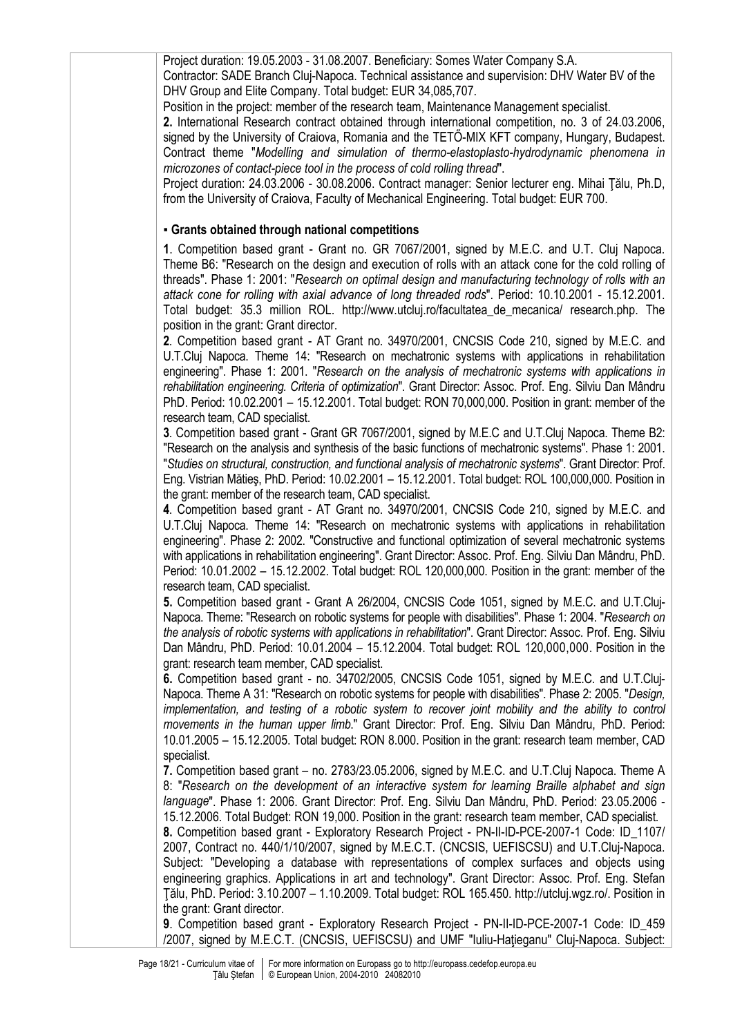Project duration: 19.05.2003 - 31.08.2007. Beneficiary: Somes Water Company S.A. Contractor: SADE Branch Cluj-Napoca. Technical assistance and supervision: DHV Water BV of the DHV Group and Elite Company. Total budget: EUR 34,085,707.

Position in the project: member of the research team, Maintenance Management specialist.

**2.** International Research contract obtained through international competition, no. 3 of 24.03.2006, signed by the University of Craiova, Romania and the TETŐ-MIX KFT company, Hungary, Budapest. Contract theme "*Modelling and simulation of thermo-elastoplasto-hydrodynamic phenomena in microzones of contact-piece tool in the process of cold rolling thread*".

Project duration: 24.03.2006 - 30.08.2006. Contract manager: Senior lecturer eng. Mihai Ţălu, Ph.D, from the University of Craiova, Faculty of Mechanical Engineering. Total budget: EUR 700.

#### ▪ **Grants obtained through national competitions**

**1**. Competition based grant - Grant no. GR 7067/2001, signed by M.E.C. and U.T. Cluj Napoca. Theme B6: "Research on the design and execution of rolls with an attack cone for the cold rolling of threads". Phase 1: 2001: "*Research on optimal design and manufacturing technology of rolls with an attack cone for rolling with axial advance of long threaded rods*". Period: 10.10.2001 - 15.12.2001. Total budget: 35.3 million ROL. http://www.utcluj.ro/facultatea\_de\_mecanica/ research.php. The position in the grant: Grant director.

**2**. Competition based grant - AT Grant no. 34970/2001, CNCSIS Code 210, signed by M.E.C. and U.T.Cluj Napoca. Theme 14: "Research on mechatronic systems with applications in rehabilitation engineering". Phase 1: 2001. "*Research on the analysis of mechatronic systems with applications in rehabilitation engineering. Criteria of optimization*". Grant Director: Assoc. Prof. Eng. Silviu Dan Mândru PhD. Period: 10.02.2001 – 15.12.2001. Total budget: RON 70,000,000. Position in grant: member of the research team, CAD specialist.

**3**. Competition based grant - Grant GR 7067/2001, signed by M.E.C and U.T.Cluj Napoca. Theme B2: "Research on the analysis and synthesis of the basic functions of mechatronic systems". Phase 1: 2001. "*Studies on structural, construction, and functional analysis of mechatronic systems*". Grant Director: Prof. Eng. Vistrian Mătieş, PhD. Period: 10.02.2001 – 15.12.2001. Total budget: ROL 100,000,000. Position in the grant: member of the research team, CAD specialist.

**4**. Competition based grant - AT Grant no. 34970/2001, CNCSIS Code 210, signed by M.E.C. and U.T.Cluj Napoca. Theme 14: "Research on mechatronic systems with applications in rehabilitation engineering". Phase 2: 2002. "Constructive and functional optimization of several mechatronic systems with applications in rehabilitation engineering". Grant Director: Assoc. Prof. Eng. Silviu Dan Mândru, PhD. Period: 10.01.2002 – 15.12.2002. Total budget: ROL 120,000,000. Position in the grant: member of the research team, CAD specialist.

**5.** Competition based grant - Grant A 26/2004, CNCSIS Code 1051, signed by M.E.C. and U.T.Cluj-Napoca. Theme: "Research on robotic systems for people with disabilities". Phase 1: 2004. "*Research on the analysis of robotic systems with applications in rehabilitation*". Grant Director: Assoc. Prof. Eng. Silviu Dan Mândru, PhD. Period: 10.01.2004 – 15.12.2004. Total budget: ROL 120,000,000. Position in the grant: research team member, CAD specialist.

**6.** Competition based grant - no. 34702/2005, CNCSIS Code 1051, signed by M.E.C. and U.T.Cluj-Napoca. Theme A 31: "Research on robotic systems for people with disabilities". Phase 2: 2005. "*Design, implementation, and testing of a robotic system to recover joint mobility and the ability to control movements in the human upper limb*." Grant Director: Prof. Eng. Silviu Dan Mândru, PhD. Period: 10.01.2005 – 15.12.2005. Total budget: RON 8.000. Position in the grant: research team member, CAD specialist.

**7.** Competition based grant – no. 2783/23.05.2006, signed by M.E.C. and U.T.Cluj Napoca. Theme A 8: "*Research on the development of an interactive system for learning Braille alphabet and sign language*". Phase 1: 2006. Grant Director: Prof. Eng. Silviu Dan Mândru, PhD. Period: 23.05.2006 - 15.12.2006. Total Budget: RON 19,000. Position in the grant: research team member, CAD specialist.

**8.** Competition based grant - Exploratory Research Project - PN-II-ID-PCE-2007-1 Code: ID\_1107/ 2007, Contract no. 440/1/10/2007, signed by M.E.C.T. (CNCSIS, UEFISCSU) and U.T.Cluj-Napoca. Subject: "Developing a database with representations of complex surfaces and objects using engineering graphics. Applications in art and technology". Grant Director: Assoc. Prof. Eng. Stefan Ţălu, PhD. Period: 3.10.2007 – 1.10.2009. Total budget: ROL 165.450. http://utcluj.wgz.ro/. Position in the grant: Grant director.

**9**. Competition based grant - Exploratory Research Project - PN-II-ID-PCE-2007-1 Code: ID\_459 /2007, signed by M.E.C.T. (CNCSIS, UEFISCSU) and UMF "Iuliu-Haţieganu" Cluj-Napoca. Subject: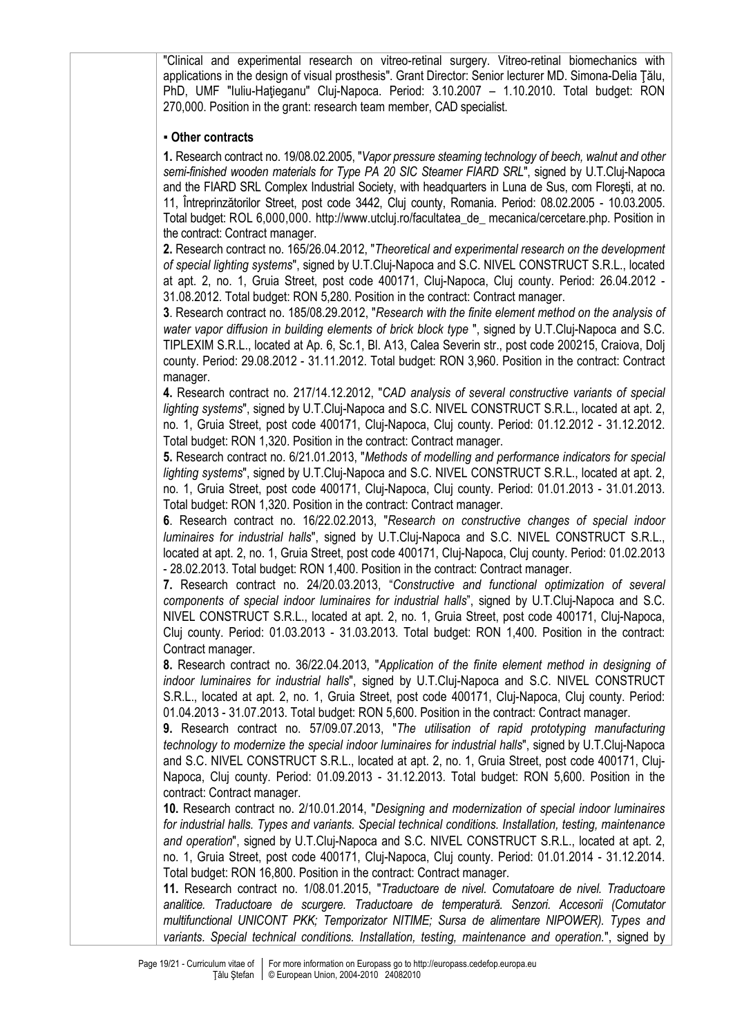"Clinical and experimental research on vitreo-retinal surgery. Vitreo-retinal biomechanics with applications in the design of visual prosthesis". Grant Director: Senior lecturer MD. Simona-Delia Ţălu, PhD, UMF "Iuliu-Hatieganu" Cluj-Napoca. Period: 3.10.2007 - 1.10.2010. Total budget: RON 270,000. Position in the grant: research team member, CAD specialist.

### ▪ **Other contracts**

**1.** Research contract no. 19/08.02.2005, "*Vapor pressure steaming technology of beech, walnut and other semi-finished wooden materials for Type PA 20 SIC Steamer FIARD SRL*", signed by U.T.Cluj-Napoca and the FIARD SRL Complex Industrial Society, with headquarters in Luna de Sus, com Floreşti, at no. 11, Întreprinzătorilor Street, post code 3442, Cluj county, Romania. Period: 08.02.2005 - 10.03.2005. Total budget: ROL 6,000,000. http://www.utcluj.ro/facultatea\_de\_ mecanica/cercetare.php. Position in the contract: Contract manager.

**2.** Research contract no. 165/26.04.2012, "*Theoretical and experimental research on the development of special lighting systems*", signed by U.T.Cluj-Napoca and S.C. NIVEL CONSTRUCT S.R.L., located at apt. 2, no. 1, Gruia Street, post code 400171, Cluj-Napoca, Cluj county. Period: 26.04.2012 - 31.08.2012. Total budget: RON 5,280. Position in the contract: Contract manager.

**3**. Research contract no. 185/08.29.2012, "*Research with the finite element method on the analysis of water vapor diffusion in building elements of brick block type* ", signed by U.T.Cluj-Napoca and S.C. TIPLEXIM S.R.L., located at Ap. 6, Sc.1, Bl. A13, Calea Severin str., post code 200215, Craiova, Dolj county. Period: 29.08.2012 - 31.11.2012. Total budget: RON 3,960. Position in the contract: Contract manager.

**4.** Research contract no. 217/14.12.2012, "*CAD analysis of several constructive variants of special lighting systems*", signed by U.T.Cluj-Napoca and S.C. NIVEL CONSTRUCT S.R.L., located at apt. 2, no. 1, Gruia Street, post code 400171, Cluj-Napoca, Cluj county. Period: 01.12.2012 - 31.12.2012. Total budget: RON 1,320. Position in the contract: Contract manager.

**5.** Research contract no. 6/21.01.2013, "*Methods of modelling and performance indicators for special lighting systems*", signed by U.T.Cluj-Napoca and S.C. NIVEL CONSTRUCT S.R.L., located at apt. 2, no. 1, Gruia Street, post code 400171, Cluj-Napoca, Cluj county. Period: 01.01.2013 - 31.01.2013. Total budget: RON 1,320. Position in the contract: Contract manager.

**6**. Research contract no. 16/22.02.2013, "*Research on constructive changes of special indoor luminaires for industrial halls*", signed by U.T.Cluj-Napoca and S.C. NIVEL CONSTRUCT S.R.L., located at apt. 2, no. 1, Gruia Street, post code 400171, Cluj-Napoca, Cluj county. Period: 01.02.2013 - 28.02.2013. Total budget: RON 1,400. Position in the contract: Contract manager.

**7.** Research contract no. 24/20.03.2013, "*Constructive and functional optimization of several components of special indoor luminaires for industrial halls*", signed by U.T.Cluj-Napoca and S.C. NIVEL CONSTRUCT S.R.L., located at apt. 2, no. 1, Gruia Street, post code 400171, Cluj-Napoca, Cluj county. Period: 01.03.2013 - 31.03.2013. Total budget: RON 1,400. Position in the contract: Contract manager.

**8.** Research contract no. 36/22.04.2013, "*Application of the finite element method in designing of indoor luminaires for industrial halls*", signed by U.T.Cluj-Napoca and S.C. NIVEL CONSTRUCT S.R.L., located at apt. 2, no. 1, Gruia Street, post code 400171, Cluj-Napoca, Cluj county. Period: 01.04.2013 - 31.07.2013. Total budget: RON 5,600. Position in the contract: Contract manager.

**9.** Research contract no. 57/09.07.2013, "*The utilisation of rapid prototyping manufacturing technology to modernize the special indoor luminaires for industrial halls*", signed by U.T.Cluj-Napoca and S.C. NIVEL CONSTRUCT S.R.L., located at apt. 2, no. 1, Gruia Street, post code 400171, Cluj-Napoca, Cluj county. Period: 01.09.2013 - 31.12.2013. Total budget: RON 5,600. Position in the contract: Contract manager.

**10.** Research contract no. 2/10.01.2014, "*Designing and modernization of special indoor luminaires for industrial halls. Types and variants. Special technical conditions. Installation, testing, maintenance and operation*", signed by U.T.Cluj-Napoca and S.C. NIVEL CONSTRUCT S.R.L., located at apt. 2, no. 1, Gruia Street, post code 400171, Cluj-Napoca, Cluj county. Period: 01.01.2014 - 31.12.2014. Total budget: RON 16,800. Position in the contract: Contract manager.

**11.** Research contract no. 1/08.01.2015, "*Traductoare de nivel. Comutatoare de nivel. Traductoare analitice. Traductoare de scurgere. Traductoare de temperatură. Senzori. Accesorii (Comutator multifunctional UNICONT PKK; Temporizator NITIME; Sursa de alimentare NIPOWER). Types and variants. Special technical conditions. Installation, testing, maintenance and operation.*", signed by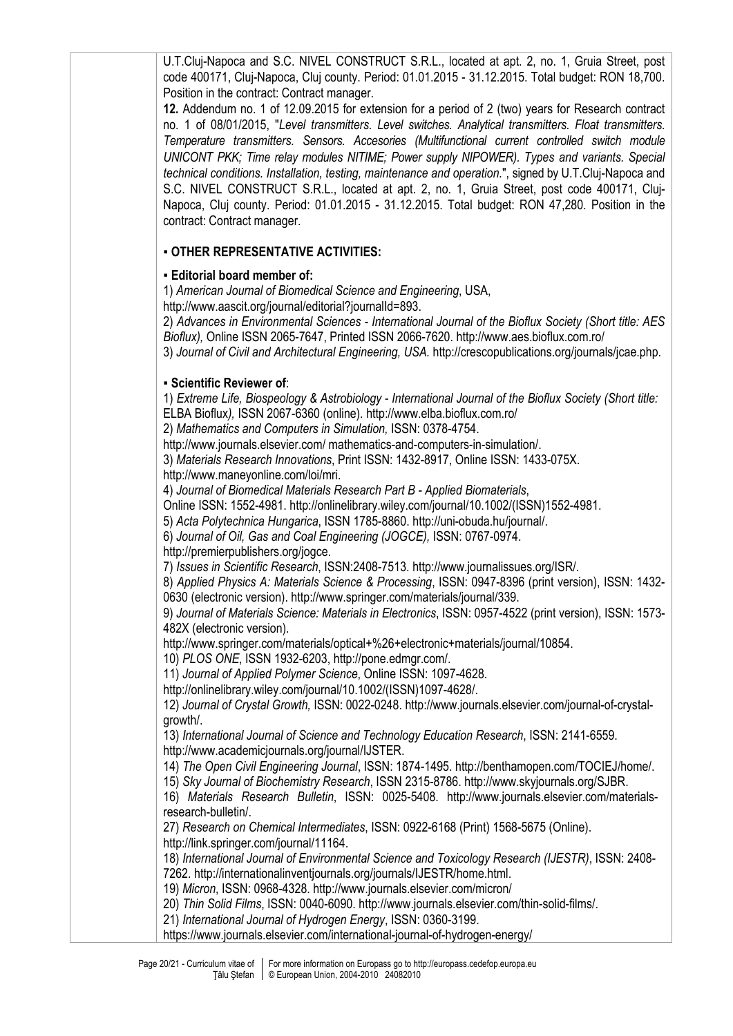U.T.Cluj-Napoca and S.C. NIVEL CONSTRUCT S.R.L., located at apt. 2, no. 1, Gruia Street, post code 400171, Cluj-Napoca, Cluj county. Period: 01.01.2015 - 31.12.2015. Total budget: RON 18,700. Position in the contract: Contract manager.

**12.** Addendum no. 1 of 12.09.2015 for extension for a period of 2 (two) years for Research contract no. 1 of 08/01/2015, "*Level transmitters. Level switches. Analytical transmitters. Float transmitters. Temperature transmitters. Sensors. Accesories (Multifunctional current controlled switch module UNICONT PKK; Time relay modules NITIME; Power supply NIPOWER). Types and variants. Special technical conditions. Installation, testing, maintenance and operation.*", signed by U.T.Cluj-Napoca and S.C. NIVEL CONSTRUCT S.R.L., located at apt. 2, no. 1, Gruia Street, post code 400171, Cluj-Napoca, Cluj county. Period: 01.01.2015 - 31.12.2015. Total budget: RON 47,280. Position in the contract: Contract manager.

# ▪ **OTHER REPRESENTATIVE ACTIVITIES:**

# ▪ **Editorial board member of:**

1) *American Journal of Biomedical Science and Engineering*, USA,

http://www.aascit.org/journal/editorial?journalId=893.

2) *Advances in Environmental Sciences - International Journal of the Bioflux Society (Short title: AES Bioflux),* Online ISSN 2065-7647, Printed ISSN 2066-7620. http://www.aes.bioflux.com.ro/

3) *Journal of Civil and Architectural Engineering, USA.* http://crescopublications.org/journals/jcae.php.

# ▪ **Scientific Reviewer of**:

1) *Extreme Life, Biospeology & Astrobiology - International Journal of the Bioflux Society (Short title:*  ELBA Bioflux*),* ISSN 2067-6360 (online). http://www.elba.bioflux.com.ro/ 2) *Mathematics and Computers in Simulation,* ISSN: 0378-4754. http://www.journals.elsevier.com/ mathematics-and-computers-in-simulation/. 3) *Materials Research Innovations*, Print ISSN: 1432-8917, Online ISSN: 1433-075X. http://www.maneyonline.com/loi/mri. 4) *Journal of Biomedical Materials Research Part B - Applied Biomaterials*, Online ISSN: 1552-4981. http://onlinelibrary.wiley.com/journal/10.1002/(ISSN)1552-4981. 5) *Acta Polytechnica Hungarica*, ISSN 1785-8860. http://uni-obuda.hu/journal/. 6) *Journal of Oil, Gas and Coal Engineering (JOGCE),* ISSN: 0767-0974. http://premierpublishers.org/jogce. 7) *Issues in Scientific Research*, ISSN:2408-7513. http://www.journalissues.org/ISR/. 8) *Applied Physics A: Materials Science & Processing*, ISSN: 0947-8396 (print version), ISSN: 1432- 0630 (electronic version). http://www.springer.com/materials/journal/339. 9) *Journal of Materials Science: Materials in Electronics*, ISSN: 0957-4522 (print version), ISSN: 1573- 482X (electronic version). http://www.springer.com/materials/optical+%26+electronic+materials/journal/10854. 10) *PLOS ONE*, ISSN 1932-6203, http://pone.edmgr.com/. 11) *Journal of Applied Polymer Science*, Online ISSN: 1097-4628. http://onlinelibrary.wiley.com/journal/10.1002/(ISSN)1097-4628/. 12) *Journal of Crystal Growth,* ISSN: 0022-0248. http://www.journals.elsevier.com/journal-of-crystalgrowth/. 13) *International Journal of Science and Technology Education Research*, ISSN: 2141-6559. http://www.academicjournals.org/journal/IJSTER. 14) *The Open Civil Engineering Journal*, ISSN: 1874-1495. http://benthamopen.com/TOCIEJ/home/. 15) *Sky Journal of Biochemistry Research*, ISSN 2315-8786. http://www.skyjournals.org/SJBR. 16) *Materials Research Bulletin*, ISSN: 0025-5408. http://www.journals.elsevier.com/materialsresearch-bulletin/. 27) *Research on Chemical Intermediates*, ISSN: 0922-6168 (Print) 1568-5675 (Online). http://link.springer.com/journal/11164. 18) *International Journal of Environmental Science and Toxicology Research (IJESTR)*, ISSN: 2408- 7262. http://internationalinventjournals.org/journals/IJESTR/home.html. 19) *Micron*, ISSN: 0968-4328. http://www.journals.elsevier.com/micron/ 20) *Thin Solid Films*, ISSN: 0040-6090. http://www.journals.elsevier.com/thin-solid-films/. 21) *International Journal of Hydrogen Energy*, ISSN: 0360-3199.

https://www.journals.elsevier.com/international-journal-of-hydrogen-energy/